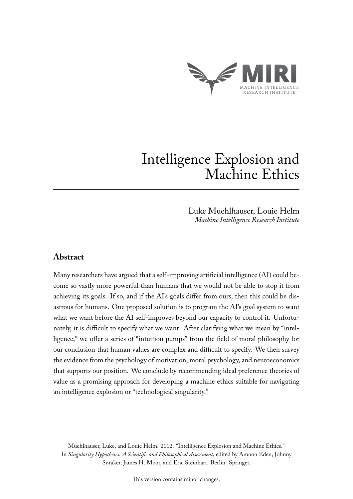

# Intelligence Explosion and Machine Ethics

Luke Muehlhauser, Louie Helm *Machine Intelligence Research Institute*

# **Abstract**

Many researchers have argued that a self-improving artificial intelligence (AI) could become so vastly more powerful than humans that we would not be able to stop it from achieving its goals. If so, and if the AI's goals differ from ours, then this could be disastrous for humans. One proposed solution is to program the AI's goal system to want what we want before the AI self-improves beyond our capacity to control it. Unfortunately, it is difficult to specify what we want. After clarifying what we mean by "intelligence," we offer a series of "intuition pumps" from the field of moral philosophy for our conclusion that human values are complex and difficult to specify. We then survey the evidence from the psychology of motivation, moral psychology, and neuroeconomics that supports our position. We conclude by recommending ideal preference theories of value as a promising approach for developing a machine ethics suitable for navigating an intelligence explosion or "technological singularity."

Muehlhauser, Luke, and Louie Helm. 2012. "Intelligence Explosion and Machine Ethics." In *Singularity Hypotheses: A Scientific and Philosophical Assessment*, edited by Amnon Eden, Johnny Søraker, James H. Moor, and Eric Steinhart. Berlin: Springer.

This version contains minor changes.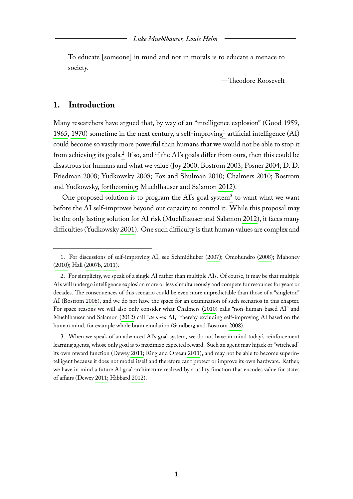To educate [someone] in mind and not in morals is to educate a menace to society.

—Theodore Roosevelt

## **1. Introduction**

Many researchers have argued that, by way of an "intelligence explosion" (Good [1959,](#page-22-0) [1965,](#page-22-1) [1970\)](#page-22-2) sometime in the next century, a self-improving<sup>[1](#page-1-0)</sup> artificial intelligence (AI) could become so vastly more powerful than humans that we would not be able to stop it from achieving its goals. $^2$  $^2$  If so, and if the AI's goals differ from ours, then this could be disastrous for humans and what we value (Joy [2000;](#page-23-0) Bostrom [2003;](#page-19-0) Posner [2004;](#page-25-0) D. D. Friedman [2008;](#page-21-0) Yudkowsky [2008;](#page-28-0) Fox and Shulman [2010;](#page-21-1) Chalmers [2010;](#page-19-1) Bostrom and Yudkowsky, [forthcoming;](#page-19-2) Muehlhauser and Salamon [2012\)](#page-24-0).

One proposed solution is to program the AI's goal system<sup>[3](#page-1-2)</sup> to want what we want before the AI self-improves beyond our capacity to control it. While this proposal may be the only lasting solution for AI risk (Muehlhauser and Salamon [2012\)](#page-24-0), it faces many difficulties (Yudkowsky [2001\)](#page-28-1). One such difficulty is that human values are complex and

<span id="page-1-2"></span>3. When we speak of an advanced AI's goal system, we do not have in mind today's reinforcement learning agents, whose only goal is to maximize expected reward. Such an agent may hijack or "wirehead" its own reward function (Dewey [2011;](#page-20-0) Ring and Orseau [2011\)](#page-25-2), and may not be able to become superintelligent because it does not model itself and therefore can't protect or improve its own hardware. Rather, we have in mind a future AI goal architecture realized by a utility function that encodes value for states of affairs (Dewey [2011;](#page-20-0) Hibbard [2012\)](#page-23-1).

<span id="page-1-0"></span><sup>1.</sup> For discussions of self-improving AI, see Schmidhuber [\(2007\)](#page-26-0); Omohundro [\(2008\)](#page-25-1); Mahoney [\(2010\)](#page-24-1); Hall [\(2007b,](#page-22-3) [2011\)](#page-22-4).

<span id="page-1-1"></span><sup>2.</sup> For simplicity, we speak of a single AI rather than multiple AIs. Of course, it may be that multiple AIs will undergo intelligence explosion more or less simultaneously and compete for resources for years or decades. The consequences of this scenario could be even more unpredictable than those of a "singleton" AI (Bostrom [2006\)](#page-19-3), and we do not have the space for an examination of such scenarios in this chapter. For space reasons we will also only consider what Chalmers [\(2010\)](#page-19-1) calls "non-human-based AI" and Muehlhauser and Salamon [\(2012\)](#page-24-0) call "*de novo* AI," thereby excluding self-improving AI based on the human mind, for example whole brain emulation (Sandberg and Bostrom [2008\)](#page-26-1).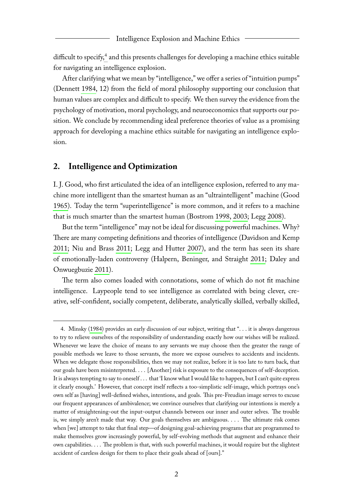difficult to specify,<sup>[4](#page-2-0)</sup> and this presents challenges for developing a machine ethics suitable for navigating an intelligence explosion.

After clarifying what we mean by "intelligence," we offer a series of "intuition pumps" (Dennett [1984,](#page-20-1) 12) from the field of moral philosophy supporting our conclusion that human values are complex and difficult to specify. We then survey the evidence from the psychology of motivation, moral psychology, and neuroeconomics that supports our position. We conclude by recommending ideal preference theories of value as a promising approach for developing a machine ethics suitable for navigating an intelligence explosion.

## **2. Intelligence and Optimization**

I. J. Good, who first articulated the idea of an intelligence explosion, referred to any machine more intelligent than the smartest human as an "ultraintelligent" machine (Good [1965\)](#page-22-1). Today the term "superintelligence" is more common, and it refers to a machine that is much smarter than the smartest human (Bostrom [1998,](#page-19-4) [2003;](#page-19-0) Legg [2008\)](#page-24-2).

But the term "intelligence" may not be ideal for discussing powerful machines. Why? There are many competing definitions and theories of intelligence (Davidson and Kemp [2011;](#page-20-2) Niu and Brass [2011;](#page-25-3) Legg and Hutter [2007\)](#page-24-3), and the term has seen its share of emotionally-laden controversy (Halpern, Beninger, and Straight [2011;](#page-22-5) Daley and Onwuegbuzie [2011\)](#page-20-3).

The term also comes loaded with connotations, some of which do not fit machine intelligence. Laypeople tend to see intelligence as correlated with being clever, creative, self-confident, socially competent, deliberate, analytically skilled, verbally skilled,

<span id="page-2-0"></span><sup>4.</sup> Minsky [\(1984\)](#page-24-4) provides an early discussion of our subject, writing that ". . . it is always dangerous to try to relieve ourselves of the responsibility of understanding exactly how our wishes will be realized. Whenever we leave the choice of means to any servants we may choose then the greater the range of possible methods we leave to those servants, the more we expose ourselves to accidents and incidents. When we delegate those responsibilities, then we may not realize, before it is too late to turn back, that our goals have been misinterpreted. . . . [Another] risk is exposure to the consequences of self-deception. It is always tempting to say to oneself . . . that 'I know what I would like to happen, but I can't quite express it clearly enough.' However, that concept itself reflects a too-simplistic self-image, which portrays one's own self as [having] well-defined wishes, intentions, and goals. This pre-Freudian image serves to excuse our frequent appearances of ambivalence; we convince ourselves that clarifying our intentions is merely a matter of straightening-out the input-output channels between our inner and outer selves. The trouble is, we simply aren't made that way. Our goals themselves are ambiguous. . . . The ultimate risk comes when [we] attempt to take that final step—of designing goal-achieving programs that are programmed to make themselves grow increasingly powerful, by self-evolving methods that augment and enhance their own capabilities. . . . The problem is that, with such powerful machines, it would require but the slightest accident of careless design for them to place their goals ahead of [ours]."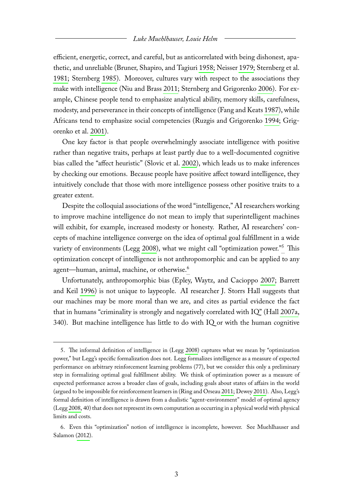efficient, energetic, correct, and careful, but as anticorrelated with being dishonest, apathetic, and unreliable (Bruner, Shapiro, and Tagiuri [1958;](#page-19-5) Neisser [1979;](#page-24-5) Sternberg et al. [1981;](#page-27-0) Sternberg [1985\)](#page-27-1). Moreover, cultures vary with respect to the associations they make with intelligence (Niu and Brass [2011;](#page-25-3) Sternberg and Grigorenko [2006\)](#page-27-2). For example, Chinese people tend to emphasize analytical ability, memory skills, carefulness, modesty, and perseverance in their concepts of intelligence (Fang and Keats [1987\)](#page-21-2), while Africans tend to emphasize social competencies (Ruzgis and Grigorenko [1994;](#page-26-2) Grigorenko et al. [2001\)](#page-22-6).

One key factor is that people overwhelmingly associate intelligence with positive rather than negative traits, perhaps at least partly due to a well-documented cognitive bias called the "affect heuristic" (Slovic et al. [2002\)](#page-26-3), which leads us to make inferences by checking our emotions. Because people have positive affect toward intelligence, they intuitively conclude that those with more intelligence possess other positive traits to a greater extent.

Despite the colloquial associations of the word "intelligence," AI researchers working to improve machine intelligence do not mean to imply that superintelligent machines will exhibit, for example, increased modesty or honesty. Rather, AI researchers' concepts of machine intelligence converge on the idea of optimal goal fulfillment in a wide variety of environments (Legg [2008\)](#page-24-2), what we might call "optimization power."<sup>[5](#page-3-0)</sup> This optimization concept of intelligence is not anthropomorphic and can be applied to any agent—human, animal, machine, or otherwise.<sup>[6](#page-3-1)</sup>

Unfortunately, anthropomorphic bias (Epley, Waytz, and Cacioppo [2007;](#page-21-3) Barrett and Keil [1996\)](#page-18-0) is not unique to laypeople. AI researcher J. Storrs Hall suggests that our machines may be more moral than we are, and cites as partial evidence the fact that in humans "criminality is strongly and negatively correlated with IQ" (Hall [2007a,](#page-22-7) 340). But machine intelligence has little to do with IQ or with the human cognitive

<span id="page-3-0"></span><sup>5.</sup> The informal definition of intelligence in (Legg [2008\)](#page-24-2) captures what we mean by "optimization power," but Legg's specific formalization does not. Legg formalizes intelligence as a measure of expected performance on arbitrary reinforcement learning problems (77), but we consider this only a preliminary step in formalizing optimal goal fulfillment ability. We think of optimization power as a measure of expected performance across a broader class of goals, including goals about states of affairs in the world (argued to be impossible for reinforcement learners in (Ring and Orseau [2011;](#page-25-2) Dewey [2011\)](#page-20-0). Also, Legg's formal definition of intelligence is drawn from a dualistic "agent-environment" model of optimal agency (Legg [2008,](#page-24-2) 40) that does not represent its own computation as occurring in a physical world with physical limits and costs.

<span id="page-3-1"></span><sup>6.</sup> Even this "optimization" notion of intelligence is incomplete, however. See Muehlhauser and Salamon [\(2012\)](#page-24-0).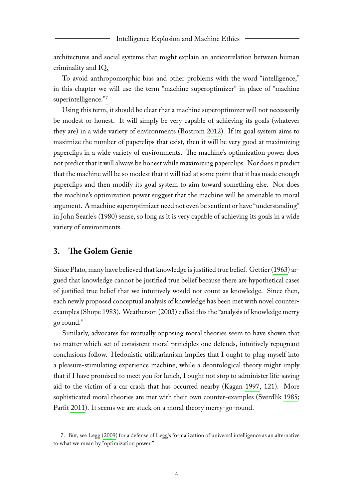architectures and social systems that might explain an anticorrelation between human criminality and IQ.

To avoid anthropomorphic bias and other problems with the word "intelligence," in this chapter we will use the term "machine superoptimizer" in place of "machine superintelligence."

Using this term, it should be clear that a machine superoptimizer will not necessarily be modest or honest. It will simply be very capable of achieving its goals (whatever they are) in a wide variety of environments (Bostrom [2012\)](#page-19-6). If its goal system aims to maximize the number of paperclips that exist, then it will be very good at maximizing paperclips in a wide variety of environments. The machine's optimization power does not predict that it will always be honest while maximizing paperclips. Nor does it predict that the machine will be so modest that it will feel at some point that it has made enough paperclips and then modify its goal system to aim toward something else. Nor does the machine's optimization power suggest that the machine will be amenable to moral argument. A machine superoptimizer need not even be sentient or have "understanding" in John Searle's (1980) sense, so long as it is very capable of achieving its goals in a wide variety of environments.

## **3. The Golem Genie**

Since Plato, many have believed that knowledge is justified true belief. Gettier [\(1963\)](#page-21-4) argued that knowledge cannot be justified true belief because there are hypothetical cases of justified true belief that we intuitively would not count as knowledge. Since then, each newly proposed conceptual analysis of knowledge has been met with novel counterexamples (Shope [1983\)](#page-26-4). Weatherson [\(2003\)](#page-28-2) called this the "analysis of knowledge merry go round."

Similarly, advocates for mutually opposing moral theories seem to have shown that no matter which set of consistent moral principles one defends, intuitively repugnant conclusions follow. Hedonistic utilitarianism implies that I ought to plug myself into a pleasure-stimulating experience machine, while a deontological theory might imply that if I have promised to meet you for lunch, I ought not stop to administer life-saving aid to the victim of a car crash that has occurred nearby (Kagan [1997,](#page-23-2) 121). More sophisticated moral theories are met with their own counter-examples (Sverdlik [1985;](#page-27-3) Parfit [2011\)](#page-25-4). It seems we are stuck on a moral theory merry-go-round.

<span id="page-4-0"></span><sup>7.</sup> But, see Legg [\(2009\)](#page-24-6) for a defense of Legg's formalization of universal intelligence as an alternative to what we mean by "optimization power."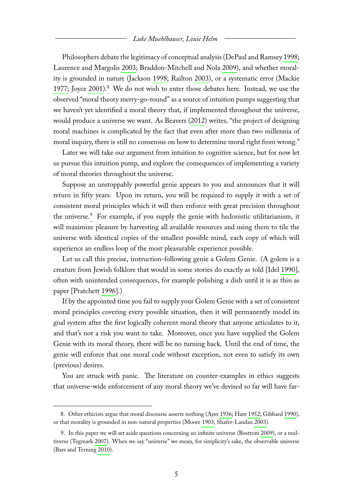Philosophers debate the legitimacy of conceptual analysis (DePaul and Ramsey [1998;](#page-20-4) Laurence and Margolis [2003;](#page-24-7) Braddon-Mitchell and Nola [2009\)](#page-19-7), and whether morality is grounded in nature (Jackson [1998;](#page-23-3) Railton [2003\)](#page-25-5), or a systematic error (Mackie [1977;](#page-24-8) Joyce [2001\)](#page-23-4).[8](#page-5-0) We do not wish to enter those debates here. Instead, we use the observed "moral theory merry-go-round" as a source of intuition pumps suggesting that we haven't yet identified a moral theory that, if implemented throughout the universe, would produce a universe we want. As Beavers [\(2012\)](#page-19-8) writes, "the project of designing moral machines is complicated by the fact that even after more than two millennia of moral inquiry, there is still no consensus on how to determine moral right from wrong."

Later we will take our argument from intuition to cognitive science, but for now let us pursue this intuition pump, and explore the consequences of implementing a variety of moral theories throughout the universe.

Suppose an unstoppably powerful genie appears to you and announces that it will return in fifty years. Upon its return, you will be required to supply it with a set of consistent moral principles which it will then enforce with great precision throughout the universe.<sup>[9](#page-5-1)</sup> For example, if you supply the genie with hedonistic utilitarianism, it will maximize pleasure by harvesting all available resources and using them to tile the universe with identical copies of the smallest possible mind, each copy of which will experience an endless loop of the most pleasurable experience possible.

Let us call this precise, instruction-following genie a Golem Genie. (A golem is a creature from Jewish folklore that would in some stories do exactly as told [Idel [1990\]](#page-23-5), often with unintended consequences, for example polishing a dish until it is as thin as paper [Pratchett [1996\]](#page-25-6).)

If by the appointed time you fail to supply your Golem Genie with a set of consistent moral principles covering every possible situation, then it will permanently model its goal system after the first logically coherent moral theory that anyone articulates to it, and that's not a risk you want to take. Moreover, once you have supplied the Golem Genie with its moral theory, there will be no turning back. Until the end of time, the genie will enforce that one moral code without exception, not even to satisfy its own (previous) desires.

You are struck with panic. The literature on counter-examples in ethics suggests that universe-wide enforcement of any moral theory we've devised so far will have far-

<span id="page-5-0"></span><sup>8.</sup> Other ethicists argue that moral discourse asserts nothing (Ayer [1936;](#page-18-1) Hare [1952;](#page-22-8) Gibbard [1990\)](#page-21-5), or that morality is grounded in non-natural properties (Moore [1903;](#page-24-9) Shafer-Landau [2003\)](#page-26-5).

<span id="page-5-1"></span><sup>9.</sup> In this paper we will set aside questions concerning an infinite universe (Bostrom [2009\)](#page-19-9), or a multiverse (Tegmark [2007\)](#page-27-4). When we say "universe" we mean, for simplicity's sake, the observable universe (Bars and Terning [2010\)](#page-18-2).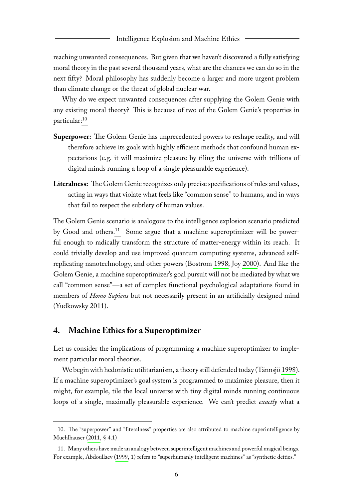reaching unwanted consequences. But given that we haven't discovered a fully satisfying moral theory in the past several thousand years, what are the chances we can do so in the next fifty? Moral philosophy has suddenly become a larger and more urgent problem than climate change or the threat of global nuclear war.

Why do we expect unwanted consequences after supplying the Golem Genie with any existing moral theory? This is because of two of the Golem Genie's properties in particular:[10](#page-6-0)

- **Superpower:** The Golem Genie has unprecedented powers to reshape reality, and will therefore achieve its goals with highly efficient methods that confound human expectations (e.g. it will maximize pleasure by tiling the universe with trillions of digital minds running a loop of a single pleasurable experience).
- **Literalness:** The Golem Genie recognizes only precise specifications of rules and values, acting in ways that violate what feels like "common sense" to humans, and in ways that fail to respect the subtlety of human values.

The Golem Genie scenario is analogous to the intelligence explosion scenario predicted by Good and others.<sup>[11](#page-6-1)</sup> Some argue that a machine superoptimizer will be powerful enough to radically transform the structure of matter-energy within its reach. It could trivially develop and use improved quantum computing systems, advanced selfreplicating nanotechnology, and other powers (Bostrom [1998;](#page-19-4) Joy [2000\)](#page-23-0). And like the Golem Genie, a machine superoptimizer's goal pursuit will not be mediated by what we call "common sense"—a set of complex functional psychological adaptations found in members of *Homo Sapiens* but not necessarily present in an artificially designed mind (Yudkowsky [2011\)](#page-28-3).

# **4. Machine Ethics for a Superoptimizer**

Let us consider the implications of programming a machine superoptimizer to implement particular moral theories.

We begin with hedonistic utilitarianism, a theory still defended today (Tännsjö [1998\)](#page-27-5). If a machine superoptimizer's goal system is programmed to maximize pleasure, then it might, for example, tile the local universe with tiny digital minds running continuous loops of a single, maximally pleasurable experience. We can't predict *exactly* what a

<span id="page-6-0"></span><sup>10.</sup> The "superpower" and "literalness" properties are also attributed to machine superintelligence by Muehlhauser [\(2011,](#page-24-10) § 4.1)

<span id="page-6-1"></span><sup>11.</sup> Many others have made an analogy between superintelligent machines and powerful magical beings. For example, Abdoullaev [\(1999,](#page-18-3) 1) refers to "superhumanly intelligent machines" as "synthetic deities."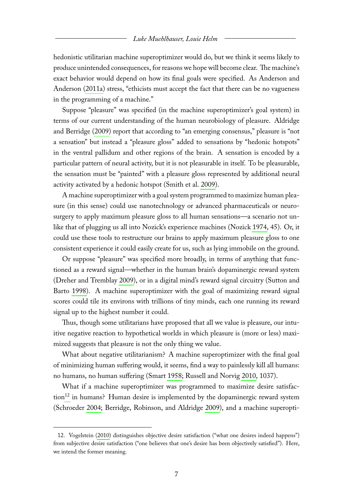hedonistic utilitarian machine superoptimizer would do, but we think it seems likely to produce unintended consequences, for reasons we hope will become clear. The machine's exact behavior would depend on how its final goals were specified. As Anderson and Anderson [\(2011a\)](#page-18-4) stress, "ethicists must accept the fact that there can be no vagueness in the programming of a machine."

Suppose "pleasure" was specified (in the machine superoptimizer's goal system) in terms of our current understanding of the human neurobiology of pleasure. Aldridge and Berridge [\(2009\)](#page-18-5) report that according to "an emerging consensus," pleasure is "not a sensation" but instead a "pleasure gloss" added to sensations by "hedonic hotspots" in the ventral pallidum and other regions of the brain. A sensation is encoded by a particular pattern of neural activity, but it is not pleasurable in itself. To be pleasurable, the sensation must be "painted" with a pleasure gloss represented by additional neural activity activated by a hedonic hotspot (Smith et al. [2009\)](#page-27-6).

A machine superoptimizer with a goal system programmed to maximize human pleasure (in this sense) could use nanotechnology or advanced pharmaceuticals or neurosurgery to apply maximum pleasure gloss to all human sensations—a scenario not unlike that of plugging us all into Nozick's experience machines (Nozick [1974,](#page-25-7) 45). Or, it could use these tools to restructure our brains to apply maximum pleasure gloss to one consistent experience it could easily create for us, such as lying immobile on the ground.

Or suppose "pleasure" was specified more broadly, in terms of anything that functioned as a reward signal—whether in the human brain's dopaminergic reward system (Dreher and Tremblay [2009\)](#page-21-6), or in a digital mind's reward signal circuitry (Sutton and Barto [1998\)](#page-27-7). A machine superoptimizer with the goal of maximizing reward signal scores could tile its environs with trillions of tiny minds, each one running its reward signal up to the highest number it could.

Thus, though some utilitarians have proposed that all we value is pleasure, our intuitive negative reaction to hypothetical worlds in which pleasure is (more or less) maximized suggests that pleasure is not the only thing we value.

What about negative utilitarianism? A machine superoptimizer with the final goal of minimizing human suffering would, it seems, find a way to painlessly kill all humans: no humans, no human suffering (Smart [1958;](#page-26-6) Russell and Norvig [2010,](#page-25-8) 1037).

What if a machine superoptimizer was programmed to maximize desire satisfac-tion<sup>[12](#page-7-0)</sup> in humans? Human desire is implemented by the dopaminergic reward system (Schroeder [2004;](#page-26-7) Berridge, Robinson, and Aldridge [2009\)](#page-19-10), and a machine superopti-

<span id="page-7-0"></span><sup>12.</sup> Vogelstein [\(2010\)](#page-27-8) distinguishes objective desire satisfaction ("what one desires indeed happens") from subjective desire satisfaction ("one believes that one's desire has been objectively satisfied"). Here, we intend the former meaning.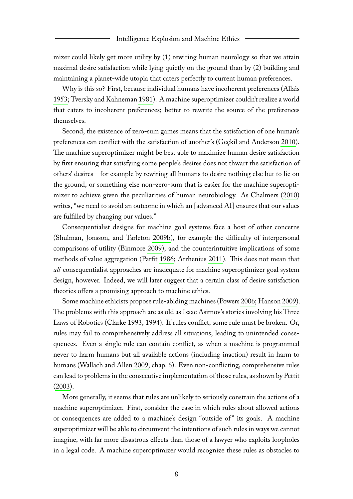mizer could likely get more utility by (1) rewiring human neurology so that we attain maximal desire satisfaction while lying quietly on the ground than by (2) building and maintaining a planet-wide utopia that caters perfectly to current human preferences.

Why is this so? First, because individual humans have incoherent preferences (Allais [1953;](#page-18-6) Tversky and Kahneman [1981\)](#page-27-9). A machine superoptimizer couldn't realize a world that caters to incoherent preferences; better to rewrite the source of the preferences themselves.

Second, the existence of zero-sum games means that the satisfaction of one human's preferences can conflict with the satisfaction of another's (Geçkil and Anderson [2010\)](#page-21-7). The machine superoptimizer might be best able to maximize human desire satisfaction by first ensuring that satisfying some people's desires does not thwart the satisfaction of others' desires—for example by rewiring all humans to desire nothing else but to lie on the ground, or something else non-zero-sum that is easier for the machine superoptimizer to achieve given the peculiarities of human neurobiology. As Chalmers [\(2010\)](#page-19-1) writes, "we need to avoid an outcome in which an [advanced AI] ensures that our values are fulfilled by changing our values."

Consequentialist designs for machine goal systems face a host of other concerns (Shulman, Jonsson, and Tarleton [2009b\)](#page-26-8), for example the difficulty of interpersonal comparisons of utility (Binmore [2009\)](#page-19-11), and the counterintuitive implications of some methods of value aggregation (Parfit [1986;](#page-25-9) Arrhenius [2011\)](#page-18-7). This does not mean that *all* consequentialist approaches are inadequate for machine superoptimizer goal system design, however. Indeed, we will later suggest that a certain class of desire satisfaction theories offers a promising approach to machine ethics.

Some machine ethicists propose rule-abiding machines (Powers [2006;](#page-25-10) Hanson [2009\)](#page-22-9). The problems with this approach are as old as Isaac Asimov's stories involving his Three Laws of Robotics (Clarke [1993,](#page-19-12) [1994\)](#page-20-5). If rules conflict, some rule must be broken. Or, rules may fail to comprehensively address all situations, leading to unintended consequences. Even a single rule can contain conflict, as when a machine is programmed never to harm humans but all available actions (including inaction) result in harm to humans (Wallach and Allen [2009,](#page-27-10) chap. 6). Even non-conflicting, comprehensive rules can lead to problems in the consecutive implementation of those rules, as shown by Pettit [\(2003\)](#page-25-11).

More generally, it seems that rules are unlikely to seriously constrain the actions of a machine superoptimizer. First, consider the case in which rules about allowed actions or consequences are added to a machine's design "outside of " its goals. A machine superoptimizer will be able to circumvent the intentions of such rules in ways we cannot imagine, with far more disastrous effects than those of a lawyer who exploits loopholes in a legal code. A machine superoptimizer would recognize these rules as obstacles to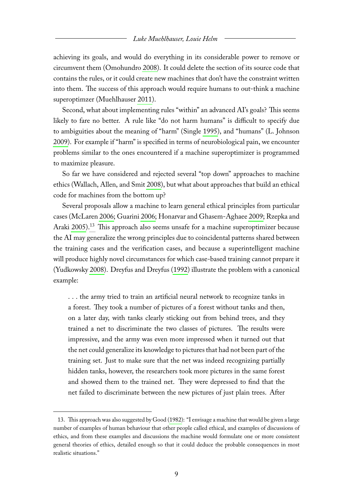achieving its goals, and would do everything in its considerable power to remove or circumvent them (Omohundro [2008\)](#page-25-1). It could delete the section of its source code that contains the rules, or it could create new machines that don't have the constraint written into them. The success of this approach would require humans to out-think a machine superoptimzer (Muehlhauser [2011\)](#page-24-10).

Second, what about implementing rules "within" an advanced AI's goals? This seems likely to fare no better. A rule like "do not harm humans" is difficult to specify due to ambiguities about the meaning of "harm" (Single [1995\)](#page-26-9), and "humans" (L. Johnson [2009\)](#page-23-6). For example if "harm" is specified in terms of neurobiological pain, we encounter problems similar to the ones encountered if a machine superoptimizer is programmed to maximize pleasure.

So far we have considered and rejected several "top down" approaches to machine ethics (Wallach, Allen, and Smit [2008\)](#page-28-4), but what about approaches that build an ethical code for machines from the bottom up?

Several proposals allow a machine to learn general ethical principles from particular cases (McLaren [2006;](#page-24-11) Guarini [2006;](#page-22-10) Honarvar and Ghasem-Aghaee [2009;](#page-23-7) Rzepka and Araki [2005\)](#page-26-10).<sup>[13](#page-9-0)</sup> This approach also seems unsafe for a machine superoptimizer because the AI may generalize the wrong principles due to coincidental patterns shared between the training cases and the verification cases, and because a superintelligent machine will produce highly novel circumstances for which case-based training cannot prepare it (Yudkowsky [2008\)](#page-28-0). Dreyfus and Dreyfus [\(1992\)](#page-21-8) illustrate the problem with a canonical example:

. . . the army tried to train an artificial neural network to recognize tanks in a forest. They took a number of pictures of a forest without tanks and then, on a later day, with tanks clearly sticking out from behind trees, and they trained a net to discriminate the two classes of pictures. The results were impressive, and the army was even more impressed when it turned out that the net could generalize its knowledge to pictures that had not been part of the training set. Just to make sure that the net was indeed recognizing partially hidden tanks, however, the researchers took more pictures in the same forest and showed them to the trained net. They were depressed to find that the net failed to discriminate between the new pictures of just plain trees. After

<span id="page-9-0"></span><sup>13.</sup> This approach was also suggested by Good [\(1982\)](#page-22-11): "I envisage a machine that would be given a large number of examples of human behaviour that other people called ethical, and examples of discussions of ethics, and from these examples and discussions the machine would formulate one or more consistent general theories of ethics, detailed enough so that it could deduce the probable consequences in most realistic situations."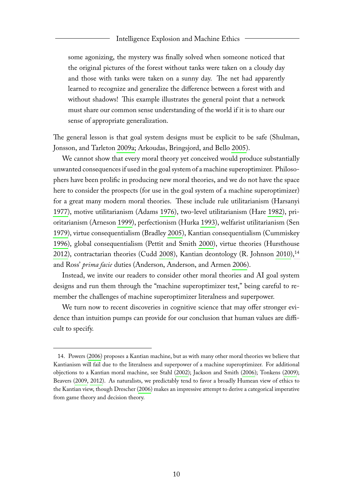## Intelligence Explosion and Machine Ethics

some agonizing, the mystery was finally solved when someone noticed that the original pictures of the forest without tanks were taken on a cloudy day and those with tanks were taken on a sunny day. The net had apparently learned to recognize and generalize the difference between a forest with and without shadows! This example illustrates the general point that a network must share our common sense understanding of the world if it is to share our sense of appropriate generalization.

The general lesson is that goal system designs must be explicit to be safe (Shulman, Jonsson, and Tarleton [2009a;](#page-26-11) Arkoudas, Bringsjord, and Bello [2005\)](#page-18-8).

We cannot show that every moral theory yet conceived would produce substantially unwanted consequences if used in the goal system of a machine superoptimizer. Philosophers have been prolific in producing new moral theories, and we do not have the space here to consider the prospects (for use in the goal system of a machine superoptimizer) for a great many modern moral theories. These include rule utilitarianism (Harsanyi [1977\)](#page-22-12), motive utilitarianism (Adams [1976\)](#page-18-9), two-level utilitarianism (Hare [1982\)](#page-22-13), prioritarianism (Arneson [1999\)](#page-18-10), perfectionism (Hurka [1993\)](#page-23-8), welfarist utilitarianism (Sen [1979\)](#page-26-12), virtue consequentialism (Bradley [2005\)](#page-19-13), Kantian consequentialism (Cummiskey [1996\)](#page-20-6), global consequentialism (Pettit and Smith [2000\)](#page-25-12), virtue theories (Hursthouse [2012\)](#page-23-9), contractarian theories (Cudd [2008\)](#page-20-7), Kantian deontology (R. Johnson [2010\)](#page-23-10),<sup>[14](#page-10-0)</sup> and Ross' *prima facie* duties (Anderson, Anderson, and Armen [2006\)](#page-18-11).

Instead, we invite our readers to consider other moral theories and AI goal system designs and run them through the "machine superoptimizer test," being careful to remember the challenges of machine superoptimizer literalness and superpower.

We turn now to recent discoveries in cognitive science that may offer stronger evidence than intuition pumps can provide for our conclusion that human values are difficult to specify.

<span id="page-10-0"></span><sup>14.</sup> Powers [\(2006\)](#page-25-10) proposes a Kantian machine, but as with many other moral theories we believe that Kantianism will fail due to the literalness and superpower of a machine superoptimizer. For additional objections to a Kantian moral machine, see Stahl [\(2002\)](#page-27-11); Jackson and Smith [\(2006\)](#page-23-11); Tonkens [\(2009\)](#page-27-12); Beavers [\(2009,](#page-19-14) [2012\)](#page-19-8). As naturalists, we predictably tend to favor a broadly Humean view of ethics to the Kantian view, though Drescher [\(2006\)](#page-21-9) makes an impressive attempt to derive a categorical imperative from game theory and decision theory.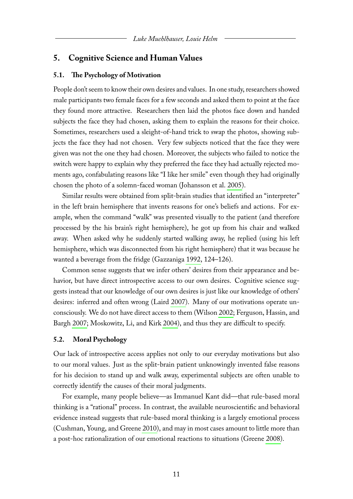## **5. Cognitive Science and Human Values**

#### **5.1. The Psychology of Motivation**

People don't seem to know their own desires and values. In one study, researchers showed male participants two female faces for a few seconds and asked them to point at the face they found more attractive. Researchers then laid the photos face down and handed subjects the face they had chosen, asking them to explain the reasons for their choice. Sometimes, researchers used a sleight-of-hand trick to swap the photos, showing subjects the face they had not chosen. Very few subjects noticed that the face they were given was not the one they had chosen. Moreover, the subjects who failed to notice the switch were happy to explain why they preferred the face they had actually rejected moments ago, confabulating reasons like "I like her smile" even though they had originally chosen the photo of a solemn-faced woman (Johansson et al. [2005\)](#page-23-12).

Similar results were obtained from split-brain studies that identified an "interpreter" in the left brain hemisphere that invents reasons for one's beliefs and actions. For example, when the command "walk" was presented visually to the patient (and therefore processed by the his brain's right hemisphere), he got up from his chair and walked away. When asked why he suddenly started walking away, he replied (using his left hemisphere, which was disconnected from his right hemisphere) that it was because he wanted a beverage from the fridge (Gazzaniga [1992,](#page-21-10) 124–126).

Common sense suggests that we infer others' desires from their appearance and behavior, but have direct introspective access to our own desires. Cognitive science suggests instead that our knowledge of our own desires is just like our knowledge of others' desires: inferred and often wrong (Laird [2007\)](#page-23-13). Many of our motivations operate unconsciously. We do not have direct access to them (Wilson [2002;](#page-28-5) Ferguson, Hassin, and Bargh [2007;](#page-21-11) Moskowitz, Li, and Kirk [2004\)](#page-24-12), and thus they are difficult to specify.

#### **5.2. Moral Psychology**

Our lack of introspective access applies not only to our everyday motivations but also to our moral values. Just as the split-brain patient unknowingly invented false reasons for his decision to stand up and walk away, experimental subjects are often unable to correctly identify the causes of their moral judgments.

For example, many people believe—as Immanuel Kant did—that rule-based moral thinking is a "rational" process. In contrast, the available neuroscientific and behavioral evidence instead suggests that rule-based moral thinking is a largely emotional process (Cushman, Young, and Greene [2010\)](#page-20-8), and may in most cases amount to little more than a post-hoc rationalization of our emotional reactions to situations (Greene [2008\)](#page-22-14).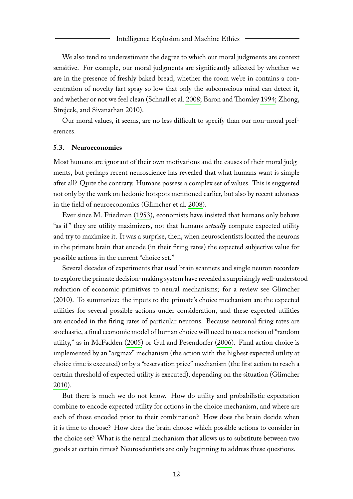We also tend to underestimate the degree to which our moral judgments are context sensitive. For example, our moral judgments are significantly affected by whether we are in the presence of freshly baked bread, whether the room we're in contains a concentration of novelty fart spray so low that only the subconscious mind can detect it, and whether or not we feel clean (Schnall et al. [2008;](#page-26-13) Baron and Thomley [1994;](#page-18-12) Zhong, Strejcek, and Sivanathan [2010\)](#page-28-6).

Our moral values, it seems, are no less difficult to specify than our non-moral preferences.

#### **5.3. Neuroeconomics**

Most humans are ignorant of their own motivations and the causes of their moral judgments, but perhaps recent neuroscience has revealed that what humans want is simple after all? Quite the contrary. Humans possess a complex set of values. This is suggested not only by the work on hedonic hotspots mentioned earlier, but also by recent advances in the field of neuroeconomics (Glimcher et al. [2008\)](#page-22-15).

Ever since M. Friedman [\(1953\)](#page-21-12), economists have insisted that humans only behave "as if " they are utility maximizers, not that humans *actually* compute expected utility and try to maximize it. It was a surprise, then, when neuroscientists located the neurons in the primate brain that encode (in their firing rates) the expected subjective value for possible actions in the current "choice set."

Several decades of experiments that used brain scanners and single neuron recorders to explore the primate decision-making system have revealed a surprisingly well-understood reduction of economic primitives to neural mechanisms; for a review see Glimcher [\(2010\)](#page-22-16). To summarize: the inputs to the primate's choice mechanism are the expected utilities for several possible actions under consideration, and these expected utilities are encoded in the firing rates of particular neurons. Because neuronal firing rates are stochastic, a final economic model of human choice will need to use a notion of "random utility," as in McFadden [\(2005\)](#page-24-13) or Gul and Pesendorfer [\(2006\)](#page-22-17). Final action choice is implemented by an "argmax" mechanism (the action with the highest expected utility at choice time is executed) or by a "reservation price" mechanism (the first action to reach a certain threshold of expected utility is executed), depending on the situation (Glimcher [2010\)](#page-22-16).

But there is much we do not know. How do utility and probabilistic expectation combine to encode expected utility for actions in the choice mechanism, and where are each of those encoded prior to their combination? How does the brain decide when it is time to choose? How does the brain choose which possible actions to consider in the choice set? What is the neural mechanism that allows us to substitute between two goods at certain times? Neuroscientists are only beginning to address these questions.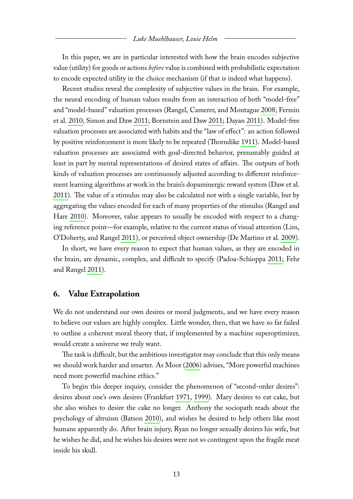In this paper, we are in particular interested with how the brain encodes subjective value (utility) for goods or actions *before* value is combined with probabilistic expectation to encode expected utility in the choice mechanism (if that is indeed what happens).

Recent studies reveal the complexity of subjective values in the brain. For example, the neural encoding of human values results from an interaction of both "model-free" and "model-based" valuation processes (Rangel, Camerer, and Montague [2008;](#page-25-13) Fermin et al. [2010;](#page-21-13) Simon and Daw [2011;](#page-26-14) Bornstein and Daw [2011;](#page-19-15) Dayan [2011\)](#page-20-9). Model-free valuation processes are associated with habits and the "law of effect": an action followed by positive reinforcement is more likely to be repeated (Thorndike [1911\)](#page-27-13). Model-based valuation processes are associated with goal-directed behavior, presumably guided at least in part by mental representations of desired states of affairs. The outputs of both kinds of valuation processes are continuously adjusted according to different reinforcement learning algorithms at work in the brain's dopaminergic reward system (Daw et al. [2011\)](#page-20-10). The value of a stimulus may also be calculated not with a single variable, but by aggregating the values encoded for each of many properties of the stimulus (Rangel and Hare [2010\)](#page-25-14). Moreover, value appears to usually be encoded with respect to a changing reference point—for example, relative to the current status of visual attention (Lim, O'Doherty, and Rangel [2011\)](#page-24-14), or perceived object ownership (De Martino et al. [2009\)](#page-20-11).

In short, we have every reason to expect that human values, as they are encoded in the brain, are dynamic, complex, and difficult to specify (Padoa-Schioppa [2011;](#page-25-15) Fehr and Rangel [2011\)](#page-21-14).

## **6. Value Extrapolation**

We do not understand our own desires or moral judgments, and we have every reason to believe our values are highly complex. Little wonder, then, that we have so far failed to outline a coherent moral theory that, if implemented by a machine superoptimizer, would create a universe we truly want.

The task is difficult, but the ambitious investigator may conclude that this only means we should work harder and smarter. As Moor [\(2006\)](#page-24-15) advises, "More powerful machines need more powerful machine ethics."

To begin this deeper inquiry, consider the phenomenon of "second-order desires": desires about one's own desires (Frankfurt [1971,](#page-21-15) [1999\)](#page-21-16). Mary desires to eat cake, but she also wishes to desire the cake no longer. Anthony the sociopath reads about the psychology of altruism (Batson [2010\)](#page-18-13), and wishes he desired to help others like most humans apparently do. After brain injury, Ryan no longer sexually desires his wife, but he wishes he did, and he wishes his desires were not so contingent upon the fragile meat inside his skull.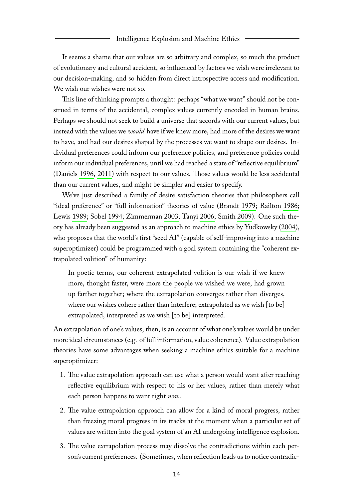It seems a shame that our values are so arbitrary and complex, so much the product of evolutionary and cultural accident, so influenced by factors we wish were irrelevant to our decision-making, and so hidden from direct introspective access and modification. We wish our wishes were not so.

This line of thinking prompts a thought: perhaps "what we want" should not be construed in terms of the accidental, complex values currently encoded in human brains. Perhaps we should not seek to build a universe that accords with our current values, but instead with the values we *would* have if we knew more, had more of the desires we want to have, and had our desires shaped by the processes we want to shape our desires. Individual preferences could inform our preference policies, and preference policies could inform our individual preferences, until we had reached a state of "reflective equilibrium" (Daniels [1996,](#page-20-12) [2011\)](#page-20-13) with respect to our values. Those values would be less accidental than our current values, and might be simpler and easier to specify.

We've just described a family of desire satisfaction theories that philosophers call "ideal preference" or "full information" theories of value (Brandt [1979;](#page-19-16) Railton [1986;](#page-25-16) Lewis [1989;](#page-24-16) Sobel [1994;](#page-27-14) Zimmerman [2003;](#page-28-7) Tanyi [2006;](#page-27-15) Smith [2009\)](#page-27-16). One such theory has already been suggested as an approach to machine ethics by Yudkowsky [\(2004\)](#page-28-8), who proposes that the world's first "seed AI" (capable of self-improving into a machine superoptimizer) could be programmed with a goal system containing the "coherent extrapolated volition" of humanity:

In poetic terms, our coherent extrapolated volition is our wish if we knew more, thought faster, were more the people we wished we were, had grown up farther together; where the extrapolation converges rather than diverges, where our wishes cohere rather than interfere; extrapolated as we wish [to be] extrapolated, interpreted as we wish [to be] interpreted.

An extrapolation of one's values, then, is an account of what one's values would be under more ideal circumstances (e.g. of full information, value coherence). Value extrapolation theories have some advantages when seeking a machine ethics suitable for a machine superoptimizer:

- 1. The value extrapolation approach can use what a person would want after reaching reflective equilibrium with respect to his or her values, rather than merely what each person happens to want right *now*.
- 2. The value extrapolation approach can allow for a kind of moral progress, rather than freezing moral progress in its tracks at the moment when a particular set of values are written into the goal system of an AI undergoing intelligence explosion.
- 3. The value extrapolation process may dissolve the contradictions within each person's current preferences. (Sometimes, when reflection leads us to notice contradic-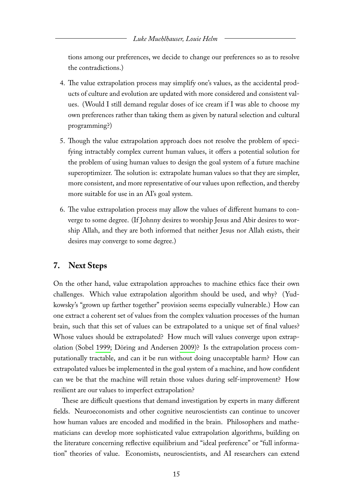tions among our preferences, we decide to change our preferences so as to resolve the contradictions.)

- 4. The value extrapolation process may simplify one's values, as the accidental products of culture and evolution are updated with more considered and consistent values. (Would I still demand regular doses of ice cream if I was able to choose my own preferences rather than taking them as given by natural selection and cultural programming?)
- 5. Though the value extrapolation approach does not resolve the problem of specifying intractably complex current human values, it offers a potential solution for the problem of using human values to design the goal system of a future machine superoptimizer. The solution is: extrapolate human values so that they are simpler, more consistent, and more representative of our values upon reflection, and thereby more suitable for use in an AI's goal system.
- 6. The value extrapolation process may allow the values of different humans to converge to some degree. (If Johnny desires to worship Jesus and Abir desires to worship Allah, and they are both informed that neither Jesus nor Allah exists, their desires may converge to some degree.)

## **7. Next Steps**

On the other hand, value extrapolation approaches to machine ethics face their own challenges. Which value extrapolation algorithm should be used, and why? (Yudkowsky's "grown up farther together" provision seems especially vulnerable.) How can one extract a coherent set of values from the complex valuation processes of the human brain, such that this set of values can be extrapolated to a unique set of final values? Whose values should be extrapolated? How much will values converge upon extrapolation (Sobel [1999;](#page-27-17) Döring and Andersen [2009\)](#page-20-14)? Is the extrapolation process computationally tractable, and can it be run without doing unacceptable harm? How can extrapolated values be implemented in the goal system of a machine, and how confident can we be that the machine will retain those values during self-improvement? How resilient are our values to imperfect extrapolation?

These are difficult questions that demand investigation by experts in many different fields. Neuroeconomists and other cognitive neuroscientists can continue to uncover how human values are encoded and modified in the brain. Philosophers and mathematicians can develop more sophisticated value extrapolation algorithms, building on the literature concerning reflective equilibrium and "ideal preference" or "full information" theories of value. Economists, neuroscientists, and AI researchers can extend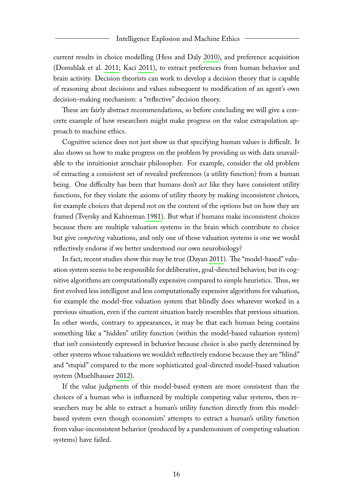current results in choice modelling (Hess and Daly [2010\)](#page-23-14), and preference acquisition (Domshlak et al. [2011;](#page-20-15) Kaci [2011\)](#page-23-15), to extract preferences from human behavior and brain activity. Decision theorists can work to develop a decision theory that is capable of reasoning about decisions and values subsequent to modification of an agent's own decision-making mechanism: a "reflective" decision theory.

These are fairly abstract recommendations, so before concluding we will give a concrete example of how researchers might make progress on the value extrapolation approach to machine ethics.

Cognitive science does not just show us that specifying human values is difficult. It also shows us how to make progress on the problem by providing us with data unavailable to the intuitionist armchair philosopher. For example, consider the old problem of extracting a consistent set of revealed preferences (a utility function) from a human being. One difficulty has been that humans don't *act* like they have consistent utility functions, for they violate the axioms of utility theory by making inconsistent choices, for example choices that depend not on the content of the options but on how they are framed (Tversky and Kahneman [1981\)](#page-27-9). But what if humans make inconsistent choices because there are multiple valuation systems in the brain which contribute to choice but give *competing* valuations, and only one of those valuation systems is one we would reflectively endorse if we better understood our own neurobiology?

In fact, recent studies show this may be true (Dayan [2011\)](#page-20-9). The "model-based" valuation system seems to be responsible for deliberative, goal-directed behavior, but its cognitive algorithms are computationally expensive compared to simple heuristics. Thus, we first evolved less intelligent and less computationally expensive algorithms for valuation, for example the model-free valuation system that blindly does whatever worked in a previous situation, even if the current situation barely resembles that previous situation. In other words, contrary to appearances, it may be that each human being contains something like a "hidden" utility function (within the model-based valuation system) that isn't consistently expressed in behavior because choice is also partly determined by other systems whose valuations we wouldn't reflectively endorse because they are "blind" and "stupid" compared to the more sophisticated goal-directed model-based valuation system (Muehlhauser [2012\)](#page-24-17).

If the value judgments of this model-based system are more consistent than the choices of a human who is influenced by multiple competing value systems, then researchers may be able to extract a human's utility function directly from this modelbased system even though economists' attempts to extract a human's utility function from value-inconsistent behavior (produced by a pandemonium of competing valuation systems) have failed.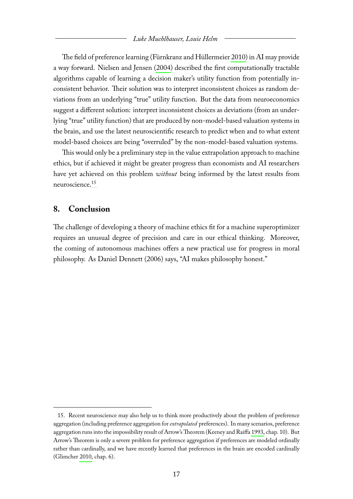The field of preference learning (Fürnkranz and Hüllermeier [2010\)](#page-21-17) in AI may provide a way forward. Nielsen and Jensen [\(2004\)](#page-25-17) described the first computationally tractable algorithms capable of learning a decision maker's utility function from potentially inconsistent behavior. Their solution was to interpret inconsistent choices as random deviations from an underlying "true" utility function. But the data from neuroeconomics suggest a different solution: interpret inconsistent choices as deviations (from an underlying "true" utility function) that are produced by non-model-based valuation systems in the brain, and use the latest neuroscientific research to predict when and to what extent model-based choices are being "overruled" by the non-model-based valuation systems.

This would only be a preliminary step in the value extrapolation approach to machine ethics, but if achieved it might be greater progress than economists and AI researchers have yet achieved on this problem *without* being informed by the latest results from neuroscience.[15](#page-17-0)

## **8. Conclusion**

The challenge of developing a theory of machine ethics fit for a machine superoptimizer requires an unusual degree of precision and care in our ethical thinking. Moreover, the coming of autonomous machines offers a new practical use for progress in moral philosophy. As Daniel Dennett (2006) says, "AI makes philosophy honest."

<span id="page-17-0"></span><sup>15.</sup> Recent neuroscience may also help us to think more productively about the problem of preference aggregation (including preference aggregation for *extrapolated* preferences). In many scenarios, preference aggregation runs into the impossibility result of Arrow's Theorem (Keeney and Raiffa [1993,](#page-23-16) chap. 10). But Arrow's Theorem is only a severe problem for preference aggregation if preferences are modeled ordinally rather than cardinally, and we have recently learned that preferences in the brain are encoded cardinally (Glimcher [2010,](#page-22-16) chap. 6).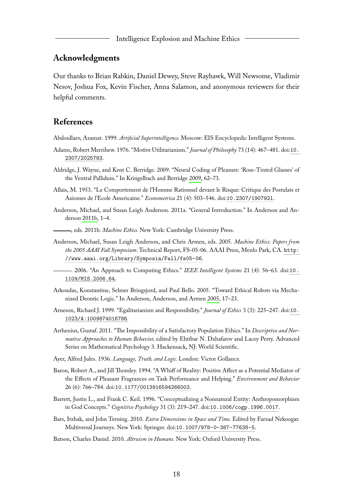## **Acknowledgments**

Our thanks to Brian Rabkin, Daniel Dewey, Steve Rayhawk, Will Newsome, Vladimir Nesov, Joshua Fox, Kevin Fischer, Anna Salamon, and anonymous reviewers for their helpful comments.

# **References**

<span id="page-18-3"></span>Abdoullaev, Azamat. 1999. *Artificial Superintelligence.* Moscow: EIS Encyclopedic Intelligent Systems.

- <span id="page-18-9"></span>Adams, Robert Merrihew. 1976. "Motive Utilitarianism." *Journal of Philosophy* 73 (14): 467–481. doi:[10.](http://dx.doi.org/10.2307/2025783) [2307/2025783](http://dx.doi.org/10.2307/2025783).
- <span id="page-18-5"></span>Aldridge, J. Wayne, and Kent C. Berridge. 2009. "Neural Coding of Pleasure: 'Rose-Tinted Glasses' of the Ventral Pallidum." In Kringelbach and Berridge [2009,](#page-23-17) 62–73.
- <span id="page-18-6"></span>Allais, M. 1953. "Le Comportement de l'Homme Rationnel devant le Risque: Critique des Postulats et Axiomes de l'Ecole Americaine." *Econometrica* 21 (4): 503–546. doi:[10.2307/1907921](http://dx.doi.org/10.2307/1907921).
- <span id="page-18-4"></span>Anderson, Michael, and Susan Leigh Anderson. 2011a. "General Introduction." In Anderson and Anderson [2011b,](#page-18-14) 1–4.

<span id="page-18-14"></span>, eds. 2011b. *Machine Ethics.* New York: Cambridge University Press.

- <span id="page-18-15"></span>Anderson, Michael, Susan Leigh Anderson, and Chris Armen, eds. 2005. *Machine Ethics: Papers from the 2005 AAAI Fall Symposium.* Technical Report, FS-05-06. AAAI Press, Menlo Park, CA. [http:](http://www.aaai.org/Library/Symposia/Fall/fs05-06) [//www.aaai.org/Library/Symposia/Fall/fs05-06](http://www.aaai.org/Library/Symposia/Fall/fs05-06).
	- . 2006. "An Approach to Computing Ethics." *IEEE Intelligent Systems* 21 (4): 56–63. doi:[10 .](http://dx.doi.org/10.1109/MIS.2006.64) [1109/MIS.2006.64](http://dx.doi.org/10.1109/MIS.2006.64).
- <span id="page-18-11"></span><span id="page-18-8"></span>Arkoudas, Konstantine, Selmer Bringsjord, and Paul Bello. 2005. "Toward Ethical Robots via Mechanized Deontic Logic." In Anderson, Anderson, and Armen [2005,](#page-18-15) 17–23.
- <span id="page-18-10"></span>Arneson, Richard J. 1999. "Egalitarianism and Responsibility." *Journal of Ethics* 3 (3): 225–247. doi:[10.](http://dx.doi.org/10.1023/A:1009874016786) [1023/A:1009874016786](http://dx.doi.org/10.1023/A:1009874016786).
- <span id="page-18-7"></span>Arrhenius, Gustaf. 2011. "The Impossibility of a Satisfactory Population Ethics." In *Descriptive and Normative Approaches to Human Behavior,* edited by Ehtibar N. Dzhafarov and Lacey Perry. Advanced Series on Mathematical Psychology 3. Hackensack, NJ: World Scientific.
- <span id="page-18-1"></span>Ayer, Alfred Jules. 1936. *Language, Truth, and Logic.* London: Victor Gollancz.
- <span id="page-18-12"></span>Baron, Robert A., and Jill Thomley. 1994. "A Whiff of Reality: Positive Affect as a Potential Mediator of the Effects of Pleasant Fragrances on Task Performance and Helping." *Environment and Behavior* 26 (6): 766–784. doi:[10.1177/0013916594266003](http://dx.doi.org/10.1177/0013916594266003).
- <span id="page-18-0"></span>Barrett, Justin L., and Frank C. Keil. 1996. "Conceptualizing a Nonnatural Entity: Anthropomorphism in God Concepts." *Cognitive Psychology* 31 (3): 219–247. doi:[10.1006/cogp.1996.0017](http://dx.doi.org/10.1006/cogp.1996.0017).
- <span id="page-18-2"></span>Bars, Itzhak, and John Terning. 2010. *Extra Dimensions in Space and Time.* Edited by Farzad Nekoogar. Multiversal Journeys. New York: Springer. doi:[10.1007/978-0-387-77638-5](http://dx.doi.org/10.1007/978-0-387-77638-5).
- <span id="page-18-13"></span>Batson, Charles Daniel. 2010. *Altruism in Humans.* New York: Oxford University Press.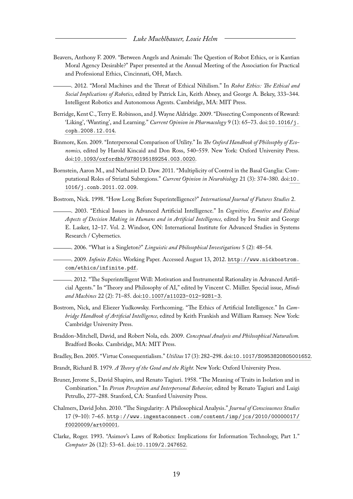<span id="page-19-14"></span>Beavers, Anthony F. 2009. "Between Angels and Animals: The Question of Robot Ethics, or is Kantian Moral Agency Desirable?" Paper presented at the Annual Meeting of the Association for Practical and Professional Ethics, Cincinnati, OH, March.

<span id="page-19-8"></span>. 2012. "Moral Machines and the Threat of Ethical Nihilism." In *Robot Ethics: The Ethical and Social Implications of Robotics,* edited by Patrick Lin, Keith Abney, and George A. Bekey, 333–344. Intelligent Robotics and Autonomous Agents. Cambridge, MA: MIT Press.

- <span id="page-19-10"></span>Berridge, Kent C., Terry E. Robinson, and J. Wayne Aldridge. 2009. "Dissecting Components of Reward: 'Liking', 'Wanting', and Learning." *Current Opinion in Pharmacology* 9 (1): 65–73. doi:[10.1016/j.](http://dx.doi.org/10.1016/j.coph.2008.12.014) [coph.2008.12.014](http://dx.doi.org/10.1016/j.coph.2008.12.014).
- <span id="page-19-11"></span>Binmore, Ken. 2009. "Interpersonal Comparison of Utility." In *The Oxford Handbook of Philosophy of Economics,* edited by Harold Kincaid and Don Ross, 540–559. New York: Oxford University Press. doi:[10.1093/oxfordhb/9780195189254.003.0020](http://dx.doi.org/10.1093/oxfordhb/9780195189254.003.0020).
- <span id="page-19-15"></span>Bornstein, Aaron M., and Nathaniel D. Daw. 2011. "Multiplicity of Control in the Basal Ganglia: Computational Roles of Striatal Subregions." *Current Opinion in Neurobiology* 21 (3): 374–380. doi:[10.](http://dx.doi.org/10.1016/j.conb.2011.02.009) [1016/j.conb.2011.02.009](http://dx.doi.org/10.1016/j.conb.2011.02.009).
- <span id="page-19-4"></span><span id="page-19-3"></span><span id="page-19-0"></span>Bostrom, Nick. 1998. "How Long Before Superintelligence?" *International Journal of Futures Studies* 2.
	- . 2003. "Ethical Issues in Advanced Artificial Intelligence." In *Cognitive, Emotive and Ethical Aspects of Decision Making in Humans and in Artificial Intelligence,* edited by Iva Smit and George E. Lasker, 12–17. Vol. 2. Windsor, ON: International Institute for Advanced Studies in Systems Research / Cybernetics.
	- . 2006. "What is a Singleton?" *Linguistic and Philosophical Investigations* 5 (2): 48–54.
	- . 2009. *Infinite Ethics.* Working Paper. Accessed August 13, 2012. [http://www.nickbostrom.](http://www.nickbostrom.com/ethics/infinite.pdf) [com/ethics/infinite.pdf](http://www.nickbostrom.com/ethics/infinite.pdf).
	- . 2012. "The Superintelligent Will: Motivation and Instrumental Rationality in Advanced Artificial Agents." In "Theory and Philosophy of AI," edited by Vincent C. Müller. Special issue, *Minds and Machines* 22 (2): 71–85. doi:[10.1007/s11023-012-9281-3](http://dx.doi.org/10.1007/s11023-012-9281-3).
- <span id="page-19-9"></span><span id="page-19-6"></span><span id="page-19-2"></span>Bostrom, Nick, and Eliezer Yudkowsky. Forthcoming. "The Ethics of Artificial Intelligence." In *Cambridge Handbook of Artificial Intelligence,* edited by Keith Frankish and William Ramsey. New York: Cambridge University Press.
- <span id="page-19-7"></span>Braddon-Mitchell, David, and Robert Nola, eds. 2009. *Conceptual Analysis and Philosophical Naturalism.* Bradford Books. Cambridge, MA: MIT Press.
- <span id="page-19-13"></span>Bradley, Ben. 2005. "Virtue Consequentialism." *Utilitas* 17 (3): 282–298. doi:[10.1017/S0953820805001652](http://dx.doi.org/10.1017/S0953820805001652).
- <span id="page-19-16"></span>Brandt, Richard B. 1979. *A Theory of the Good and the Right.* New York: Oxford University Press.
- <span id="page-19-5"></span>Bruner, Jerome S., David Shapiro, and Renato Tagiuri. 1958. "The Meaning of Traits in Isolation and in Combination." In *Person Perception and Interpersonal Behavior,* edited by Renato Tagiuri and Luigi Petrullo, 277–288. Stanford, CA: Stanford University Press.
- <span id="page-19-1"></span>Chalmers, David John. 2010. "The Singularity: A Philosophical Analysis." *Journal of Consciousness Studies* 17 (9–10): 7–65. [http://www.ingentaconnect.com/content/imp/jcs/2010/00000017/](http://www.ingentaconnect.com/content/imp/jcs/2010/00000017/f0020009/art00001) [f0020009/art00001](http://www.ingentaconnect.com/content/imp/jcs/2010/00000017/f0020009/art00001).
- <span id="page-19-12"></span>Clarke, Roger. 1993. "Asimov's Laws of Robotics: Implications for Information Technology, Part 1." *Computer* 26 (12): 53–61. doi:[10.1109/2.247652](http://dx.doi.org/10.1109/2.247652).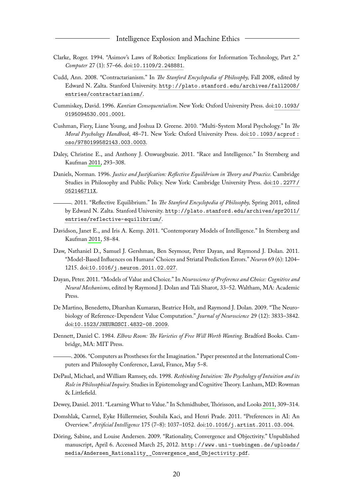- <span id="page-20-5"></span>Clarke, Roger. 1994. "Asimov's Laws of Robotics: Implications for Information Technology, Part 2." *Computer* 27 (1): 57–66. doi:[10.1109/2.248881](http://dx.doi.org/10.1109/2.248881).
- <span id="page-20-7"></span>Cudd, Ann. 2008. "Contractarianism." In *The Stanford Encyclopedia of Philosophy,* Fall 2008, edited by Edward N. Zalta. Stanford University. [http://plato.stanford.edu/archives/fall2008/](http://plato.stanford.edu/archives/fall2008/entries/contractarianism/) [entries/contractarianism/](http://plato.stanford.edu/archives/fall2008/entries/contractarianism/).
- <span id="page-20-6"></span>Cummiskey, David. 1996. *Kantian Consequentialism.* New York: Oxford University Press. doi:[10.1093/](http://dx.doi.org/10.1093/0195094530.001.0001) [0195094530.001.0001](http://dx.doi.org/10.1093/0195094530.001.0001).
- <span id="page-20-8"></span>Cushman, Fiery, Liane Young, and Joshua D. Greene. 2010. "Multi-System Moral Psychology." In *The Moral Psychology Handbook,* 48–71. New York: Oxford University Press. doi:[10 . 1093 / acprof :](http://dx.doi.org/10.1093/acprof:oso/9780199582143.003.0003) [oso/9780199582143.003.0003](http://dx.doi.org/10.1093/acprof:oso/9780199582143.003.0003).
- <span id="page-20-3"></span>Daley, Christine E., and Anthony J. Onwuegbuzie. 2011. "Race and Intelligence." In Sternberg and Kaufman [2011,](#page-27-18) 293–308.
- <span id="page-20-12"></span>Daniels, Norman. 1996. *Justice and Justification: Reflective Equilibrium in Theory and Practice.* Cambridge Studies in Philosophy and Public Policy. New York: Cambridge University Press. doi:[10 . 2277 /](http://dx.doi.org/10.2277/052146711X) [052146711X](http://dx.doi.org/10.2277/052146711X).
- <span id="page-20-13"></span>. 2011. "Reflective Equilibrium." In *The Stanford Encyclopedia of Philosophy,* Spring 2011, edited by Edward N. Zalta. Stanford University. [http://plato.stanford.edu/archives/spr2011/](http://plato.stanford.edu/archives/spr2011/entries/reflective-equilibrium/) [entries/reflective-equilibrium/](http://plato.stanford.edu/archives/spr2011/entries/reflective-equilibrium/).
- <span id="page-20-2"></span>Davidson, Janet E., and Iris A. Kemp. 2011. "Contemporary Models of Intelligence." In Sternberg and Kaufman [2011,](#page-27-18) 58–84.
- <span id="page-20-10"></span>Daw, Nathaniel D., Samuel J. Gershman, Ben Seymour, Peter Dayan, and Raymond J. Dolan. 2011. "Model-Based Influences on Humans' Choices and Striatal Prediction Errors." *Neuron* 69 (6): 1204– 1215. doi:[10.1016/j.neuron.2011.02.027](http://dx.doi.org/10.1016/j.neuron.2011.02.027).
- <span id="page-20-9"></span>Dayan, Peter. 2011. "Models of Value and Choice." In *Neuroscience of Preference and Choice: Cognitive and Neural Mechanisms,* edited by Raymond J. Dolan and Tali Sharot, 33–52. Waltham, MA: Academic Press.
- <span id="page-20-11"></span>De Martino, Benedetto, Dharshan Kumaran, Beatrice Holt, and Raymond J. Dolan. 2009. "The Neurobiology of Reference-Dependent Value Computation." *Journal of Neuroscience* 29 (12): 3833–3842. doi:[10.1523/JNEUROSCI.4832-08.2009](http://dx.doi.org/10.1523/JNEUROSCI.4832-08.2009).
- <span id="page-20-1"></span>Dennett, Daniel C. 1984. *Elbow Room: The Varieties of Free Will Worth Wanting.* Bradford Books. Cambridge, MA: MIT Press.
	- . 2006. "Computers as Prostheses for the Imagination." Paper presented at the International Computers and Philosophy Conference, Laval, France, May 5–8.
- <span id="page-20-4"></span>DePaul, Michael, and William Ramsey, eds. 1998. *Rethinking Intuition: The Psychology of Intuition and its Role in Philosophical Inquiry.*Studies in Epistemology and CognitiveTheory. Lanham, MD: Rowman & Littlefield.
- <span id="page-20-0"></span>Dewey, Daniel. 2011. "Learning What to Value." In Schmidhuber, Thórisson, and Looks [2011,](#page-26-15) 309–314.
- <span id="page-20-15"></span>Domshlak, Carmel, Eyke Hüllermeier, Souhila Kaci, and Henri Prade. 2011. "Preferences in AI: An Overview." *Artificial Intelligence* 175 (7–8): 1037–1052. doi:[10.1016/j.artint.2011.03.004](http://dx.doi.org/10.1016/j.artint.2011.03.004).
- <span id="page-20-14"></span>Döring, Sabine, and Louise Andersen. 2009. "Rationality, Convergence and Objectivity." Unpublished manuscript, April 6. Accessed March 25, 2012. [http://www.uni- tuebingen.de/uploads/](http://www.uni-tuebingen.de/uploads/media/Andersen_Rationality__Convergence_and_Objectivity.pdf) [media/Andersen\\_Rationality\\_\\_Convergence\\_and\\_Objectivity.pdf](http://www.uni-tuebingen.de/uploads/media/Andersen_Rationality__Convergence_and_Objectivity.pdf).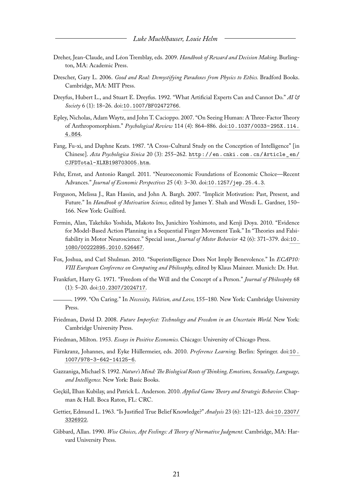- <span id="page-21-6"></span>Dreher, Jean-Claude, and Léon Tremblay, eds. 2009. *Handbook of Reward and Decision Making.*Burlington, MA: Academic Press.
- <span id="page-21-9"></span>Drescher, Gary L. 2006. *Good and Real: Demystifying Paradoxes from Physics to Ethics.* Bradford Books. Cambridge, MA: MIT Press.
- <span id="page-21-8"></span>Dreyfus, Hubert L., and Stuart E. Dreyfus. 1992. "What Artificial Experts Can and Cannot Do." *AI & Society* 6 (1): 18–26. doi:[10.1007/BF02472766](http://dx.doi.org/10.1007/BF02472766).
- <span id="page-21-3"></span>Epley, Nicholas, Adam Waytz, and John T. Cacioppo. 2007. "On Seeing Human: A Three-Factor Theory of Anthropomorphism." *Psychological Review* 114 (4): 864–886. doi:[10.1037/0033- 295X.114.](http://dx.doi.org/10.1037/0033-295X.114.4.864) [4.864](http://dx.doi.org/10.1037/0033-295X.114.4.864).
- <span id="page-21-2"></span>Fang, Fu-xi, and Daphne Keats. 1987. "A Cross-Cultural Study on the Conception of Intelligence" [in Chinese]. *Acta Psychologica Sinica* 20 (3): 255–262. [http://en.cnki.com.cn/Article\\_en/](http://en.cnki.com.cn/Article_en/CJFDTotal-XLXB198703005.htm) [CJFDTotal-XLXB198703005.htm](http://en.cnki.com.cn/Article_en/CJFDTotal-XLXB198703005.htm).
- <span id="page-21-14"></span>Fehr, Ernst, and Antonio Rangel. 2011. "Neuroeconomic Foundations of Economic Choice—Recent Advances." *Journal of Economic Perspectives* 25 (4): 3–30. doi:[10.1257/jep.25.4.3](http://dx.doi.org/10.1257/jep.25.4.3).
- <span id="page-21-11"></span>Ferguson, Melissa J., Ran Hassin, and John A. Bargh. 2007. "Implicit Motivation: Past, Present, and Future." In *Handbook of Motivation Science,* edited by James Y. Shah and Wendi L. Gardner, 150– 166. New York: Guilford.
- <span id="page-21-13"></span>Fermin, Alan, Takehiko Yoshida, Makoto Ito, Junichiro Yoshimoto, and Kenji Doya. 2010. "Evidence for Model-Based Action Planning in a Sequential Finger Movement Task." In "Theories and Falsifiability in Motor Neuroscience." Special issue, *Journal of Motor Behavior* 42 (6): 371–379. doi:[10.](http://dx.doi.org/10.1080/00222895.2010.526467) [1080/00222895.2010.526467](http://dx.doi.org/10.1080/00222895.2010.526467).
- <span id="page-21-1"></span>Fox, Joshua, and Carl Shulman. 2010. "Superintelligence Does Not Imply Benevolence." In *ECAP10: VIII European Conference on Computing and Philosophy,* edited by Klaus Mainzer. Munich: Dr. Hut.
- <span id="page-21-16"></span><span id="page-21-15"></span>Frankfurt, Harry G. 1971. "Freedom of the Will and the Concept of a Person." *Journal of Philosophy* 68 (1): 5–20. doi:[10.2307/2024717](http://dx.doi.org/10.2307/2024717).
	- . 1999. "On Caring." In *Necessity, Volition, and Love,* 155–180. New York: Cambridge University Press.
- <span id="page-21-0"></span>Friedman, David D. 2008. *Future Imperfect: Technology and Freedom in an Uncertain World.* New York: Cambridge University Press.
- <span id="page-21-12"></span>Friedman, Milton. 1953. *Essays in Positive Economics.* Chicago: University of Chicago Press.
- <span id="page-21-17"></span>Fürnkranz, Johannes, and Eyke Hüllermeier, eds. 2010. *Preference Learning.* Berlin: Springer. doi:[10 .](http://dx.doi.org/10.1007/978-3-642-14125-6) [1007/978-3-642-14125-6](http://dx.doi.org/10.1007/978-3-642-14125-6).
- <span id="page-21-10"></span>Gazzaniga, Michael S. 1992. *Nature's Mind: The Biological Roots of Thinking, Emotions, Sexuality, Language, and Intelligence.* New York: Basic Books.
- <span id="page-21-7"></span>Geçkil, Ilhan Kubilay, and Patrick L. Anderson. 2010. *Applied Game Theory and Strategic Behavior.* Chapman & Hall. Boca Raton, FL: CRC.
- <span id="page-21-4"></span>Gettier, Edmund L. 1963. "Is Justified True Belief Knowledge?" *Analysis* 23 (6): 121–123. doi:[10.2307/](http://dx.doi.org/10.2307/3326922) [3326922](http://dx.doi.org/10.2307/3326922).
- <span id="page-21-5"></span>Gibbard, Allan. 1990. *Wise Choices, Apt Feelings: A Theory of Normative Judgment.* Cambridge, MA: Harvard University Press.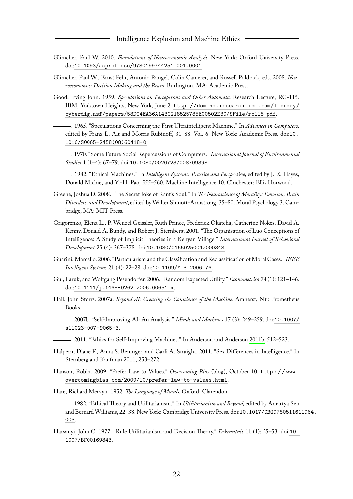- <span id="page-22-16"></span>Glimcher, Paul W. 2010. *Foundations of Neuroeconomic Analysis.* New York: Oxford University Press. doi:[10.1093/acprof:oso/9780199744251.001.0001](http://dx.doi.org/10.1093/acprof:oso/9780199744251.001.0001).
- <span id="page-22-15"></span>Glimcher, Paul W., Ernst Fehr, Antonio Rangel, Colin Camerer, and Russell Poldrack, eds. 2008. *Neuroeconomics: Decision Making and the Brain.* Burlington, MA: Academic Press.
- <span id="page-22-1"></span><span id="page-22-0"></span>Good, Irving John. 1959. *Speculations on Perceptrons and Other Automata.* Research Lecture, RC-115. IBM, Yorktown Heights, New York, June 2. [http://domino.research.ibm.com/library/](http://domino.research.ibm.com/library/cyberdig.nsf/papers/58DC4EA36A143C218525785E00502E30/$File/rc115.pdf) [cyberdig.nsf/papers/58DC4EA36A143C218525785E00502E30/\\$File/rc115.pdf](http://domino.research.ibm.com/library/cyberdig.nsf/papers/58DC4EA36A143C218525785E00502E30/$File/rc115.pdf).
	- . 1965. "Speculations Concerning the First Ultraintelligent Machine." In *Advances in Computers,* edited by Franz L. Alt and Morris Rubinoff, 31–88. Vol. 6. New York: Academic Press. doi:[10.](http://dx.doi.org/10.1016/S0065-2458(08)60418-0) [1016/S0065-2458\(08\)60418-0](http://dx.doi.org/10.1016/S0065-2458(08)60418-0).
		- . 1970. "Some Future Social Repercussions of Computers." *International Journal of Environmental Studies* 1 (1–4): 67–79. doi:[10.1080/00207237008709398](http://dx.doi.org/10.1080/00207237008709398).
		- . 1982. "Ethical Machines." In *Intelligent Systems: Practice and Perspective,* edited by J. E. Hayes, Donald Michie, and Y.-H. Pao, 555–560. Machine Intelligence 10. Chichester: Ellis Horwood.
- <span id="page-22-14"></span><span id="page-22-11"></span><span id="page-22-2"></span>Greene, Joshua D. 2008. "The Secret Joke of Kant's Soul." In *The Neuroscience of Morality: Emotion, Brain Disorders, and Development,* edited by Walter Sinnott-Armstrong, 35–80. Moral Psychology 3. Cambridge, MA: MIT Press.
- <span id="page-22-6"></span>Grigorenko, Elena L., P. Wenzel Geissler, Ruth Prince, Frederick Okatcha, Catherine Nokes, David A. Kenny, Donald A. Bundy, and Robert J. Sternberg. 2001. "The Organisation of Luo Conceptions of Intelligence: A Study of Implicit Theories in a Kenyan Village." *International Journal of Behavioral Development* 25 (4): 367–378. doi:[10.1080/01650250042000348](http://dx.doi.org/10.1080/01650250042000348).
- <span id="page-22-10"></span>Guarini, Marcello. 2006. "Particularism and the Classification and Reclassification of Moral Cases."*IEEE Intelligent Systems* 21 (4): 22–28. doi:[10.1109/MIS.2006.76](http://dx.doi.org/10.1109/MIS.2006.76).
- <span id="page-22-17"></span>Gul, Faruk, and Wolfgang Pesendorfer. 2006. "Random Expected Utility." *Econometrica* 74 (1): 121–146. doi:[10.1111/j.1468-0262.2006.00651.x](http://dx.doi.org/10.1111/j.1468-0262.2006.00651.x).
- <span id="page-22-7"></span><span id="page-22-3"></span>Hall, John Storrs. 2007a. *Beyond AI: Creating the Conscience of the Machine.* Amherst, NY: Prometheus Books.
	- . 2007b. "Self-Improving AI: An Analysis." *Minds and Machines* 17 (3): 249–259. doi:[10.1007/](http://dx.doi.org/10.1007/s11023-007-9065-3) [s11023-007-9065-3](http://dx.doi.org/10.1007/s11023-007-9065-3).
	- . 2011. "Ethics for Self-Improving Machines." In Anderson and Anderson [2011b,](#page-18-14) 512–523.
- <span id="page-22-5"></span><span id="page-22-4"></span>Halpern, Diane F., Anna S. Beninger, and Carli A. Straight. 2011. "Sex Differences in Intelligence." In Sternberg and Kaufman [2011,](#page-27-18) 253–272.
- <span id="page-22-9"></span>Hanson, Robin. 2009. "Prefer Law to Values." *Overcoming Bias* (blog), October 10. [http : / / www .](http://www.overcomingbias.com/2009/10/prefer-law-to-values.html) [overcomingbias.com/2009/10/prefer-law-to-values.html](http://www.overcomingbias.com/2009/10/prefer-law-to-values.html).

<span id="page-22-8"></span>Hare, Richard Mervyn. 1952. *The Language of Morals.* Oxford: Clarendon.

- <span id="page-22-13"></span>. 1982. "Ethical Theory and Utilitarianism." In *Utilitarianism and Beyond,* edited by Amartya Sen and BernardWilliams, 22–38. New York: Cambridge University Press. doi:[10.1017/CBO978051161](http://dx.doi.org/10.1017/CBO9780511611964.003)1964. [003](http://dx.doi.org/10.1017/CBO9780511611964.003).
- <span id="page-22-12"></span>Harsanyi, John C. 1977. "Rule Utilitarianism and Decision Theory." *Erkenntnis* 11 (1): 25–53. doi:[10.](http://dx.doi.org/10.1007/BF00169843) [1007/BF00169843](http://dx.doi.org/10.1007/BF00169843).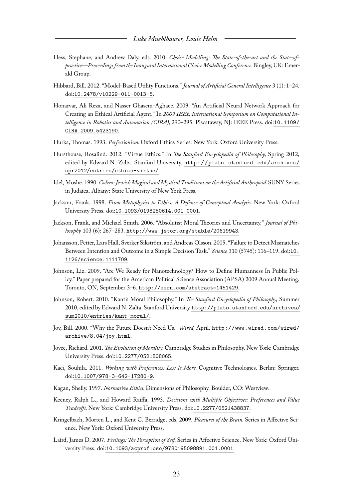- <span id="page-23-14"></span>Hess, Stephane, and Andrew Daly, eds. 2010. *Choice Modelling: The State-of-the-art and the State-ofpractice—Proceedings from the Inaugural International ChoiceModelling Conference.*Bingley, UK: Emerald Group.
- <span id="page-23-1"></span>Hibbard, Bill. 2012. "Model-Based Utility Functions." *Journal of Artificial General Intelligence* 3 (1): 1–24. doi:[10.2478/v10229-011-0013-5](http://dx.doi.org/10.2478/v10229-011-0013-5).
- <span id="page-23-7"></span>Honarvar, Ali Reza, and Nasser Ghasem-Aghaee. 2009. "An Artificial Neural Network Approach for Creating an Ethical Artificial Agent." In *2009 IEEE International Symposium on Computational Intelligence in Robotics and Automation (CIRA),* 290–295. Piscataway, NJ: IEEE Press. doi:[10.1109/](http://dx.doi.org/10.1109/CIRA.2009.5423190) [CIRA.2009.5423190](http://dx.doi.org/10.1109/CIRA.2009.5423190).
- <span id="page-23-8"></span>Hurka, Thomas. 1993. *Perfectionism.* Oxford Ethics Series. New York: Oxford University Press.
- <span id="page-23-9"></span>Hursthouse, Rosalind. 2012. "Virtue Ethics." In *The Stanford Encyclopedia of Philosophy,* Spring 2012, edited by Edward N. Zalta. Stanford University. [http://plato.stanford.edu/archives/](http://plato.stanford.edu/archives/spr2012/entries/ethics-virtue/) [spr2012/entries/ethics-virtue/](http://plato.stanford.edu/archives/spr2012/entries/ethics-virtue/).
- <span id="page-23-5"></span>Idel, Moshe. 1990. *Golem: Jewish Magical and Mystical Traditions on the Artificial Anthropoid.*SUNY Series in Judaica. Albany: State University of New York Press.
- <span id="page-23-3"></span>Jackson, Frank. 1998. *From Metaphysics to Ethics: A Defence of Conceptual Analysis.* New York: Oxford University Press. doi:[10.1093/0198250614.001.0001](http://dx.doi.org/10.1093/0198250614.001.0001).
- <span id="page-23-11"></span>Jackson, Frank, and Michael Smith. 2006. "Absolutist Moral Theories and Uncertainty." *Journal of Philosophy* 103 (6): 267–283. <http://www.jstor.org/stable/20619943>.
- <span id="page-23-12"></span>Johansson, Petter, Lars Hall, Sverker Sikström, and Andreas Olsson. 2005. "Failure to Detect Mismatches Between Intention and Outcome in a Simple Decision Task." *Science* 310 (5745): 116–119. doi:[10.](http://dx.doi.org/10.1126/science.1111709) [1126/science.1111709](http://dx.doi.org/10.1126/science.1111709).
- <span id="page-23-6"></span>Johnson, Liz. 2009. "Are We Ready for Nanotechnology? How to Define Humanness In Public Policy." Paper prepared for the American Political Science Association (APSA) 2009 Annual Meeting, Toronto, ON, September 3–6. <http://ssrn.com/abstract=1451429>.
- <span id="page-23-10"></span>Johnson, Robert. 2010. "Kant's Moral Philosophy." In *The Stanford Encyclopedia of Philosophy,* Summer 2010, edited by Edward N. Zalta. Stanford University. [http://plato.stanford.edu/archives/](http://plato.stanford.edu/archives/sum2010/entries/kant-moral/) [sum2010/entries/kant-moral/](http://plato.stanford.edu/archives/sum2010/entries/kant-moral/).
- <span id="page-23-0"></span>Joy, Bill. 2000. "Why the Future Doesn't Need Us." *Wired,* April. [http://www.wired.com/wired/](http://www.wired.com/wired/archive/8.04/joy.html) [archive/8.04/joy.html](http://www.wired.com/wired/archive/8.04/joy.html).
- <span id="page-23-4"></span>Joyce, Richard. 2001. *The Evolution of Morality.*Cambridge Studies in Philosophy. New York: Cambridge University Press. doi:[10.2277/0521808065](http://dx.doi.org/10.2277/0521808065).
- <span id="page-23-15"></span>Kaci, Souhila. 2011. *Working with Preferences: Less Is More.* Cognitive Technologies. Berlin: Springer. doi:[10.1007/978-3-642-17280-9](http://dx.doi.org/10.1007/978-3-642-17280-9).
- <span id="page-23-2"></span>Kagan, Shelly. 1997. *Normative Ethics.* Dimensions of Philosophy. Boulder, CO: Westview.
- <span id="page-23-16"></span>Keeney, Ralph L., and Howard Raiffa. 1993. *Decisions with Multiple Objectives: Preferences and Value Tradeoffs.* New York: Cambridge University Press. doi:[10.2277/0521438837](http://dx.doi.org/10.2277/0521438837).
- <span id="page-23-17"></span>Kringelbach, Morten L., and Kent C. Berridge, eds. 2009. *Pleasures of the Brain.* Series in Affective Science. New York: Oxford University Press.
- <span id="page-23-13"></span>Laird, James D. 2007. *Feelings: The Perception of Self.* Series in Affective Science. New York: Oxford University Press. doi:[10.1093/acprof:oso/9780195098891.001.0001](http://dx.doi.org/10.1093/acprof:oso/9780195098891.001.0001).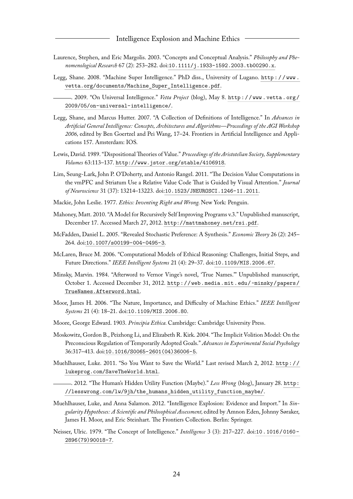- <span id="page-24-7"></span>Laurence, Stephen, and Eric Margolis. 2003. "Concepts and Conceptual Analysis." *Philosophy and Phenomenological Research* 67 (2): 253–282. doi:[10.1111/j.1933-1592.2003.tb00290.x](http://dx.doi.org/10.1111/j.1933-1592.2003.tb00290.x).
- <span id="page-24-2"></span>Legg, Shane. 2008. "Machine Super Intelligence." PhD diss., University of Lugano. [http : / / www .](http://www.vetta.org/documents/Machine_Super_Intelligence.pdf) [vetta.org/documents/Machine\\_Super\\_Intelligence.pdf](http://www.vetta.org/documents/Machine_Super_Intelligence.pdf).

<span id="page-24-6"></span>. 2009. "On Universal Intelligence." *Vetta Project* (blog), May 8. [http : / / www . vetta . org /](http://www.vetta.org/2009/05/on-universal-intelligence/) [2009/05/on-universal-intelligence/](http://www.vetta.org/2009/05/on-universal-intelligence/).

- <span id="page-24-3"></span>Legg, Shane, and Marcus Hutter. 2007. "A Collection of Definitions of Intelligence." In *Advances in Artificial General Intelligence: Concepts, Architectures and Algorithms—Proceedings of the AGI Workshop 2006,* edited by Ben Goertzel and Pei Wang, 17–24. Frontiers in Artificial Intelligence and Applications 157. Amsterdam: IOS.
- <span id="page-24-16"></span>Lewis, David. 1989. "Dispositional Theories of Value." *Proceedings of the Aristotelian Society, Supplementary Volumes* 63:113–137. <http://www.jstor.org/stable/4106918>.
- <span id="page-24-14"></span>Lim, Seung-Lark, John P. O'Doherty, and Antonio Rangel. 2011. "The Decision Value Computations in the vmPFC and Striatum Use a Relative Value Code That is Guided by Visual Attention." *Journal of Neuroscience* 31 (37): 13214–13223. doi:[10.1523/JNEUROSCI.1246-11.2011](http://dx.doi.org/10.1523/JNEUROSCI.1246-11.2011).
- <span id="page-24-8"></span>Mackie, John Leslie. 1977. *Ethics: Inventing Right and Wrong.* New York: Penguin.
- <span id="page-24-1"></span>Mahoney, Matt. 2010. "A Model for Recursively Self Improving Programs v.3." Unpublished manuscript, December 17. Accessed March 27, 2012. <http://mattmahoney.net/rsi.pdf>.
- <span id="page-24-13"></span>McFadden, Daniel L. 2005. "Revealed Stochastic Preference: A Synthesis." *Economic Theory* 26 (2): 245– 264. doi:[10.1007/s00199-004-0495-3](http://dx.doi.org/10.1007/s00199-004-0495-3).
- <span id="page-24-11"></span>McLaren, Bruce M. 2006. "Computational Models of Ethical Reasoning: Challenges, Initial Steps, and Future Directions." *IEEE Intelligent Systems* 21 (4): 29–37. doi:[10.1109/MIS.2006.67](http://dx.doi.org/10.1109/MIS.2006.67).
- <span id="page-24-4"></span>Minsky, Marvin. 1984. "Afterword to Vernor Vinge's novel, 'True Names."' Unpublished manuscript, October 1. Accessed December 31, 2012. [http://web.media.mit.edu/~minsky/papers/](http://web.media.mit.edu/~minsky/papers/TrueNames.Afterword.html) [TrueNames.Afterword.html](http://web.media.mit.edu/~minsky/papers/TrueNames.Afterword.html).
- <span id="page-24-15"></span>Moor, James H. 2006. "The Nature, Importance, and Difficulty of Machine Ethics." *IEEE Intelligent Systems* 21 (4): 18–21. doi:[10.1109/MIS.2006.80](http://dx.doi.org/10.1109/MIS.2006.80).
- <span id="page-24-9"></span>Moore, George Edward. 1903. *Principia Ethica.* Cambridge: Cambridge University Press.
- <span id="page-24-12"></span>Moskowitz, Gordon B., Peizhong Li, and Elizabeth R. Kirk. 2004. "The Implicit Volition Model: On the Preconscious Regulation of Temporarily Adopted Goals." *Advances in Experimental Social Psychology* 36:317–413. doi:[10.1016/S0065-2601\(04\)36006-5](http://dx.doi.org/10.1016/S0065-2601(04)36006-5).
- <span id="page-24-10"></span>Muehlhauser, Luke. 2011. "So You Want to Save the World." Last revised March 2, 2012. [http://](http://lukeprog.com/SaveTheWorld.html) [lukeprog.com/SaveTheWorld.html](http://lukeprog.com/SaveTheWorld.html).

<span id="page-24-17"></span>. 2012. "The Human's Hidden Utility Function (Maybe)." *Less Wrong* (blog), January 28. [http:](http://lesswrong.com/lw/9jh/the_humans_hidden_utility_function_maybe/) [//lesswrong.com/lw/9jh/the\\_humans\\_hidden\\_utility\\_function\\_maybe/](http://lesswrong.com/lw/9jh/the_humans_hidden_utility_function_maybe/).

- <span id="page-24-0"></span>Muehlhauser, Luke, and Anna Salamon. 2012. "Intelligence Explosion: Evidence and Import." In *Singularity Hypotheses: A Scientific and Philosophical Assessment,* edited by Amnon Eden, Johnny Søraker, James H. Moor, and Eric Steinhart. The Frontiers Collection. Berlin: Springer.
- <span id="page-24-5"></span>Neisser, Ulric. 1979. "The Concept of Intelligence." *Intelligence* 3 (3): 217–227. doi:[10.1016/0160-](http://dx.doi.org/10.1016/0160-2896(79)90018-7) [2896\(79\)90018-7](http://dx.doi.org/10.1016/0160-2896(79)90018-7).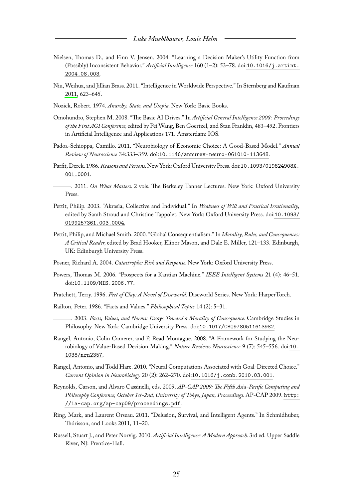- <span id="page-25-17"></span>Nielsen, Thomas D., and Finn V. Jensen. 2004. "Learning a Decision Maker's Utility Function from (Possibly) Inconsistent Behavior." *Artificial Intelligence* 160 (1–2): 53–78. doi:[10.1016/j.artint.](http://dx.doi.org/10.1016/j.artint.2004.08.003) [2004.08.003](http://dx.doi.org/10.1016/j.artint.2004.08.003).
- <span id="page-25-3"></span>Niu, Weihua, and Jillian Brass. 2011. "Intelligence in Worldwide Perspective." In Sternberg and Kaufman [2011,](#page-27-18) 623–645.
- <span id="page-25-7"></span>Nozick, Robert. 1974. *Anarchy, State, and Utopia.* New York: Basic Books.
- <span id="page-25-1"></span>Omohundro, Stephen M. 2008. "The Basic AI Drives." In *Artificial General Intelligence 2008: Proceedings of the First AGI Conference,* edited by Pei Wang, Ben Goertzel, and Stan Franklin, 483–492. Frontiers in Artificial Intelligence and Applications 171. Amsterdam: IOS.
- <span id="page-25-15"></span>Padoa-Schioppa, Camillo. 2011. "Neurobiology of Economic Choice: A Good-Based Model." *Annual Review of Neuroscience* 34:333–359. doi:[10.1146/annurev-neuro-061010-113648](http://dx.doi.org/10.1146/annurev-neuro-061010-113648).
- <span id="page-25-9"></span><span id="page-25-4"></span>Parfit, Derek. 1986. *Reasons and Persons.*New York: Oxford University Press. doi:[10.1093/019824908X.](http://dx.doi.org/10.1093/019824908X.001.0001) [001.0001](http://dx.doi.org/10.1093/019824908X.001.0001).
	- . 2011. *On What Matters.* 2 vols. The Berkeley Tanner Lectures. New York: Oxford University Press.
- <span id="page-25-11"></span>Pettit, Philip. 2003. "Akrasia, Collective and Individual." In *Weakness of Will and Practical Irrationality,* edited by Sarah Stroud and Christine Tappolet. New York: Oxford University Press. doi:[10.1093/](http://dx.doi.org/10.1093/0199257361.003.0004) [0199257361.003.0004](http://dx.doi.org/10.1093/0199257361.003.0004).
- <span id="page-25-12"></span>Pettit, Philip, and Michael Smith. 2000. "Global Consequentialism." In *Morality, Rules, and Consequences: A Critical Reader,* edited by Brad Hooker, Elinor Mason, and Dale E. Miller, 121–133. Edinburgh, UK: Edinburgh University Press.
- <span id="page-25-0"></span>Posner, Richard A. 2004. *Catastrophe: Risk and Response.* New York: Oxford University Press.
- <span id="page-25-10"></span>Powers, Thomas M. 2006. "Prospects for a Kantian Machine." *IEEE Intelligent Systems* 21 (4): 46–51. doi:[10.1109/MIS.2006.77](http://dx.doi.org/10.1109/MIS.2006.77).
- <span id="page-25-6"></span>Pratchett, Terry. 1996. *Feet of Clay: A Novel of Discworld.* Discworld Series. New York: HarperTorch.
- <span id="page-25-16"></span>Railton, Peter. 1986. "Facts and Values." *Philosophical Topics* 14 (2): 5–31.
- <span id="page-25-5"></span>. 2003. *Facts, Values, and Norms: Essays Toward a Morality of Consequence.* Cambridge Studies in Philosophy. New York: Cambridge University Press. doi:[10.1017/CBO9780511613982](http://dx.doi.org/10.1017/CBO9780511613982).
- <span id="page-25-13"></span>Rangel, Antonio, Colin Camerer, and P. Read Montague. 2008. "A Framework for Studying the Neurobiology of Value-Based Decision Making." *Nature Reviews Neuroscience* 9 (7): 545–556. doi:[10.](http://dx.doi.org/10.1038/nrn2357) [1038/nrn2357](http://dx.doi.org/10.1038/nrn2357).
- <span id="page-25-14"></span>Rangel, Antonio, and Todd Hare. 2010. "Neural Computations Associated with Goal-Directed Choice." *Current Opinion in Neurobiology* 20 (2): 262–270. doi:[10.1016/j.conb.2010.03.001](http://dx.doi.org/10.1016/j.conb.2010.03.001).
- <span id="page-25-18"></span>Reynolds, Carson, and Alvaro Cassinelli, eds. 2009. *AP-CAP 2009: The Fifth Asia-Pacific Computing and Philosophy Conference, October 1st-2nd, University of Tokyo, Japan, Proceedings.*AP-CAP 2009. [http:](http://ia-cap.org/ap-cap09/proceedings.pdf) [//ia-cap.org/ap-cap09/proceedings.pdf](http://ia-cap.org/ap-cap09/proceedings.pdf).
- <span id="page-25-2"></span>Ring, Mark, and Laurent Orseau. 2011. "Delusion, Survival, and Intelligent Agents." In Schmidhuber, Thórisson, and Looks [2011,](#page-26-15) 11–20.
- <span id="page-25-8"></span>Russell, Stuart J., and Peter Norvig. 2010. *Artificial Intelligence: A Modern Approach.* 3rd ed. Upper Saddle River, NJ: Prentice-Hall.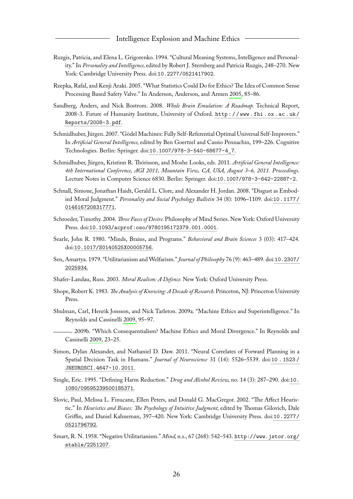- <span id="page-26-2"></span>Ruzgis, Patricia, and Elena L. Grigorenko. 1994. "Cultural Meaning Systems, Intelligence and Personality." In *Personality and Intelligence,* edited by Robert J. Sternberg and Patricia Ruzgis, 248–270. New York: Cambridge University Press. doi:[10.2277/0521417902](http://dx.doi.org/10.2277/0521417902).
- <span id="page-26-10"></span>Rzepka, Rafal, and Kenji Araki. 2005. "What Statistics Could Do for Ethics? The Idea of Common Sense Processing Based Safety Valve." In Anderson, Anderson, and Armen [2005,](#page-18-15) 85–86.
- <span id="page-26-1"></span>Sandberg, Anders, and Nick Bostrom. 2008. *Whole Brain Emulation: A Roadmap.* Technical Report, 2008-3. Future of Humanity Institute, University of Oxford. [http : / / www . fhi . ox . ac . uk /](http://www.fhi.ox.ac.uk/Reports/2008-3.pdf) [Reports/2008-3.pdf](http://www.fhi.ox.ac.uk/Reports/2008-3.pdf).
- <span id="page-26-0"></span>Schmidhuber, Jürgen. 2007. "Gödel Machines: Fully Self-Referential Optimal Universal Self-Improvers." In *Artificial General Intelligence,* edited by Ben Goertzel and Cassio Pennachin, 199–226. Cognitive Technologies. Berlin: Springer. doi:[10.1007/978-3-540-68677-4\\_7](http://dx.doi.org/10.1007/978-3-540-68677-4_7).
- <span id="page-26-15"></span>Schmidhuber, Jürgen, Kristinn R. Thórisson, and Moshe Looks, eds. 2011. *Artificial General Intelligence: 4th International Conference, AGI 2011, Mountain View, CA, USA, August 3–6, 2011. Proceedings.* Lecture Notes in Computer Science 6830. Berlin: Springer. doi:[10.1007/978-3-642-22887-2](http://dx.doi.org/10.1007/978-3-642-22887-2).
- <span id="page-26-13"></span>Schnall, Simone, Jonathan Haidt, Gerald L. Clore, and Alexander H. Jordan. 2008. "Disgust as Embodied Moral Judgment." *Personality and Social Psychology Bulletin* 34 (8): 1096–1109. doi:[10.1177/](http://dx.doi.org/10.1177/0146167208317771) [0146167208317771](http://dx.doi.org/10.1177/0146167208317771).
- <span id="page-26-7"></span>Schroeder, Timothy. 2004. *Three Faces of Desire.*Philosophy of Mind Series. New York: Oxford University Press. doi:[10.1093/acprof:oso/9780195172379.001.0001](http://dx.doi.org/10.1093/acprof:oso/9780195172379.001.0001).
- Searle, John R. 1980. "Minds, Brains, and Programs." *Behavioral and Brain Sciences* 3 (03): 417–424. doi:[10.1017/S0140525X00005756](http://dx.doi.org/10.1017/S0140525X00005756).
- <span id="page-26-12"></span>Sen, Amartya. 1979. "Utilitarianism and Welfarism." *Journal of Philosophy* 76 (9): 463–489. doi:[10.2307/](http://dx.doi.org/10.2307/2025934) [2025934](http://dx.doi.org/10.2307/2025934).
- <span id="page-26-5"></span>Shafer-Landau, Russ. 2003. *Moral Realism: A Defence.* New York: Oxford University Press.
- <span id="page-26-4"></span>Shope, Robert K. 1983. *The Analysis of Knowing: A Decade of Research.*Princeton, NJ: Princeton University Press.
- <span id="page-26-11"></span>Shulman, Carl, Henrik Jonsson, and Nick Tarleton. 2009a. "Machine Ethics and Superintelligence." In Reynolds and Cassinelli [2009,](#page-25-18) 95–97.
- <span id="page-26-8"></span>. 2009b. "Which Consequentialism? Machine Ethics and Moral Divergence." In Reynolds and Cassinelli [2009,](#page-25-18) 23–25.
- <span id="page-26-14"></span>Simon, Dylan Alexander, and Nathaniel D. Daw. 2011. "Neural Correlates of Forward Planning in a Spatial Decision Task in Humans." *Journal of Neuroscience* 31 (14): 5526–5539. doi:[10 . 1523 /](http://dx.doi.org/10.1523/JNEUROSCI.4647-10.2011) [JNEUROSCI.4647-10.2011](http://dx.doi.org/10.1523/JNEUROSCI.4647-10.2011).
- <span id="page-26-9"></span>Single, Eric. 1995. "Defining Harm Reduction." *Drug and Alcohol Review,* no. 14 (3): 287–290. doi:[10.](http://dx.doi.org/10.1080/09595239500185371) [1080/09595239500185371](http://dx.doi.org/10.1080/09595239500185371).
- <span id="page-26-3"></span>Slovic, Paul, Melissa L. Finucane, Ellen Peters, and Donald G. MacGregor. 2002. "The Affect Heuristic." In *Heuristics and Biases: The Psychology of Intuitive Judgment,* edited by Thomas Gilovich, Dale Griffin, and Daniel Kahneman, 397–420. New York: Cambridge University Press. doi:[10.2277/](http://dx.doi.org/10.2277/0521796792) [0521796792](http://dx.doi.org/10.2277/0521796792).
- <span id="page-26-6"></span>Smart, R. N. 1958. "Negative Utilitarianism." *Mind,* n.s., 67 (268): 542–543. [http://www.jstor.org/](http://www.jstor.org/stable/2251207) [stable/2251207](http://www.jstor.org/stable/2251207).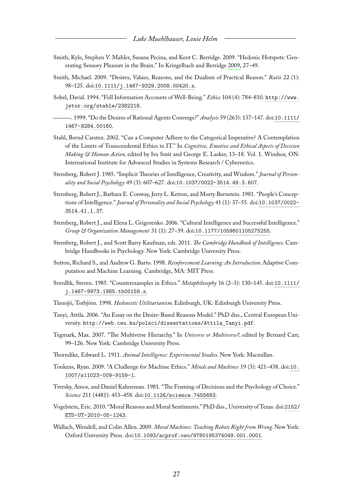- <span id="page-27-6"></span>Smith, Kyle, Stephen V. Mahler, Susana Pecina, and Kent C. Berridge. 2009. "Hedonic Hotspots: Generating Sensory Pleasure in the Brain." In Kringelbach and Berridge [2009,](#page-23-17) 27–49.
- <span id="page-27-16"></span>Smith, Michael. 2009. "Desires, Values, Reasons, and the Dualism of Practical Reason." *Ratio* 22 (1): 98–125. doi:[10.1111/j.1467-9329.2008.00420.x](http://dx.doi.org/10.1111/j.1467-9329.2008.00420.x).
- <span id="page-27-17"></span><span id="page-27-14"></span>Sobel, David. 1994. "Full Information Accounts of Well-Being." *Ethics* 104 (4): 784–810. [http://www.](http://www.jstor.org/stable/2382218) [jstor.org/stable/2382218](http://www.jstor.org/stable/2382218).
	- . 1999. "Do the Desires of Rational Agents Converge?" *Analysis* 59 (263): 137–147. doi:[10.1111/](http://dx.doi.org/10.1111/1467-8284.00160) [1467-8284.00160](http://dx.doi.org/10.1111/1467-8284.00160).
- <span id="page-27-11"></span>Stahl, Bernd Carsten. 2002. "Can a Computer Adhere to the Categorical Imperative? A Contemplation of the Limits of Transcendental Ethics in IT." In *Cognitive, Emotive and Ethical Aspects of Decision Making & Human Action,* edited by Iva Smit and George E. Lasker, 13–18. Vol. 1. Windsor, ON: International Institute for Advanced Studies in Systems Research / Cybernetics.
- <span id="page-27-1"></span>Sternberg, Robert J. 1985. "Implicit Theories of Intelligence, Creativity, and Wisdom." *Journal of Personality and Social Psychology* 49 (3): 607–627. doi:[10.1037/0022-3514.49.3.607](http://dx.doi.org/10.1037/0022-3514.49.3.607).
- <span id="page-27-0"></span>Sternberg, Robert J., Barbara E. Conway, Jerry L. Ketron, and Morty Bernstein. 1981. "People's Conceptions of Intelligence." *Journal of Personality and Social Psychology* 41 (1): 37–55. doi:[10.1037/0022-](http://dx.doi.org/10.1037/0022-3514.41.1.37) [3514.41.1.37](http://dx.doi.org/10.1037/0022-3514.41.1.37).
- <span id="page-27-2"></span>Sternberg, Robert J., and Elena L. Grigorenko. 2006. "Cultural Intelligence and Successful Intelligence." *Group & Organization Management* 31 (1): 27–39. doi:[10.1177/1059601105275255](http://dx.doi.org/10.1177/1059601105275255).
- <span id="page-27-18"></span>Sternberg, Robert J., and Scott Barry Kaufman, eds. 2011. *The Cambridge Handbook of Intelligence.* Cambridge Handbooks in Psychology. New York: Cambridge University Press.
- <span id="page-27-7"></span>Sutton, Richard S., and Andrew G. Barto. 1998. *Reinforcement Learning: An Introduction.*Adaptive Computation and Machine Learning. Cambridge, MA: MIT Press.
- <span id="page-27-3"></span>Sverdlik, Steven. 1985. "Counterexamples in Ethics." *Metaphilosophy* 16 (2–3): 130–145. doi:[10.1111/](http://dx.doi.org/10.1111/j.1467-9973.1985.tb00159.x) [j.1467-9973.1985.tb00159.x](http://dx.doi.org/10.1111/j.1467-9973.1985.tb00159.x).
- <span id="page-27-5"></span>Tännsjö, Torbjörn. 1998. *Hedonistic Utilitarianism.* Edinburgh, UK: Edinburgh University Press.
- <span id="page-27-15"></span>Tanyi, Attila. 2006. "An Essay on the Desire-Based Reasons Model." PhD diss., Central European University. [http://web.ceu.hu/polsci/dissertations/Attila\\_Tanyi.pdf](http://web.ceu.hu/polsci/dissertations/Attila_Tanyi.pdf).
- <span id="page-27-4"></span>Tegmark, Max. 2007. "The Multiverse Hierarchy." In *Universe or Multiverse?,* edited by Bernard Carr, 99–126. New York: Cambridge University Press.
- <span id="page-27-13"></span>Thorndike, Edward L. 1911. *Animal Intelligence: Experimental Studies.* New York: Macmillan.
- <span id="page-27-12"></span>Tonkens, Ryan. 2009. "A Challenge for Machine Ethics." *Minds and Machines* 19 (3): 421–438. doi:[10.](http://dx.doi.org/10.1007/s11023-009-9159-1) [1007/s11023-009-9159-1](http://dx.doi.org/10.1007/s11023-009-9159-1).
- <span id="page-27-9"></span>Tversky, Amos, and Daniel Kahneman. 1981. "The Framing of Decisions and the Psychology of Choice." *Science* 211 (4481): 453–458. doi:[10.1126/science.7455683](http://dx.doi.org/10.1126/science.7455683).
- <span id="page-27-8"></span>Vogelstein, Eric. 2010. "Moral Reasons and Moral Sentiments." PhD diss., University of Texas. doi:[2152/](http://dx.doi.org/2152/ETD-UT-2010-05-1243) [ETD-UT-2010-05-1243](http://dx.doi.org/2152/ETD-UT-2010-05-1243).
- <span id="page-27-10"></span>Wallach, Wendell, and Colin Allen. 2009. *Moral Machines: Teaching Robots Right from Wrong.*New York: Oxford University Press. doi:[10.1093/acprof:oso/9780195374049.001.0001](http://dx.doi.org/10.1093/acprof:oso/9780195374049.001.0001).